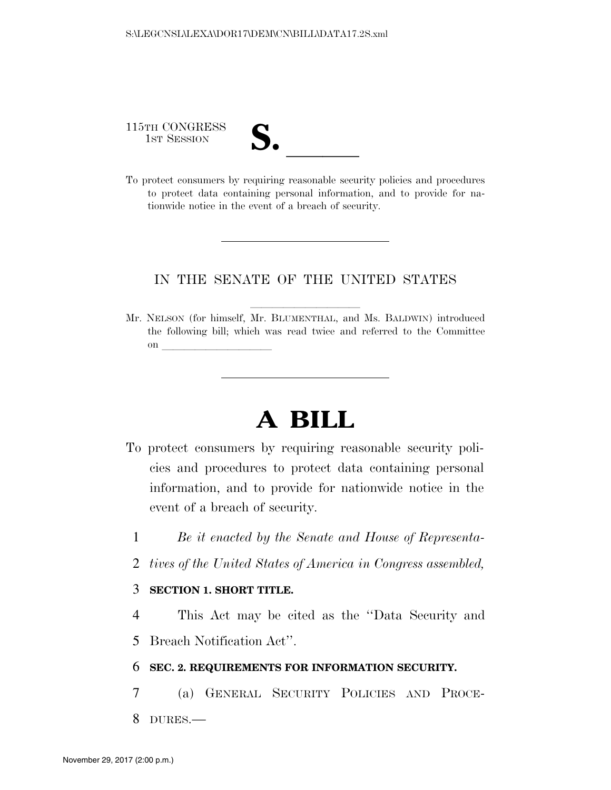115TH CONGRESS

| $\blacksquare$ |  |  |
|----------------|--|--|
|                |  |  |
| N.             |  |  |
|                |  |  |

115TH CONGRESS<br>
1ST SESSION<br>
To protect consumers by requiring reasonable security policies and procedures to protect data containing personal information, and to provide for nationwide notice in the event of a breach of security.

# IN THE SENATE OF THE UNITED STATES

Mr. NELSON (for himself, Mr. BLUMENTHAL, and Ms. BALDWIN) introduced the following bill; which was read twice and referred to the Committee on  $\overline{\qquad \qquad }$ 

# **A BILL**

- To protect consumers by requiring reasonable security policies and procedures to protect data containing personal information, and to provide for nationwide notice in the event of a breach of security.
	- 1 *Be it enacted by the Senate and House of Representa-*
	- 2 *tives of the United States of America in Congress assembled,*

## 3 **SECTION 1. SHORT TITLE.**

4 This Act may be cited as the ''Data Security and 5 Breach Notification Act''.

### 6 **SEC. 2. REQUIREMENTS FOR INFORMATION SECURITY.**

7 (a) GENERAL SECURITY POLICIES AND PROCE-8 DURES.—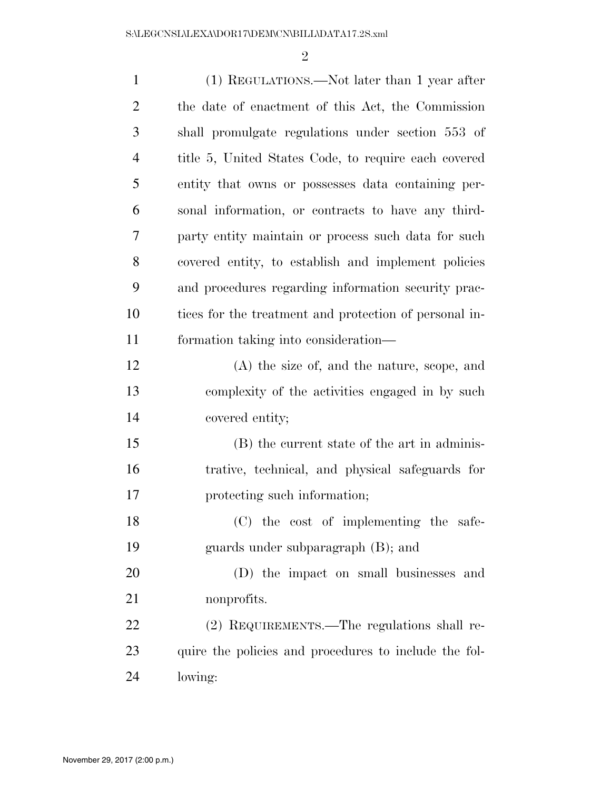| $\mathbf{1}$   | (1) REGULATIONS.—Not later than 1 year after           |
|----------------|--------------------------------------------------------|
| 2              | the date of enactment of this Act, the Commission      |
| 3              | shall promulgate regulations under section 553 of      |
| $\overline{4}$ | title 5, United States Code, to require each covered   |
| 5              | entity that owns or possesses data containing per-     |
| 6              | sonal information, or contracts to have any third-     |
| 7              | party entity maintain or process such data for such    |
| 8              | covered entity, to establish and implement policies    |
| 9              | and procedures regarding information security prac-    |
| 10             | tices for the treatment and protection of personal in- |
| 11             | formation taking into consideration—                   |
| 12             | $(A)$ the size of, and the nature, scope, and          |
| 13             | complexity of the activities engaged in by such        |
| 14             | covered entity;                                        |
| 15             | (B) the current state of the art in adminis-           |
| 16             | trative, technical, and physical safeguards for        |
| 17             | protecting such information;                           |
| 18             | (C) the cost of implementing the safe-                 |
| 19             | guards under subparagraph (B); and                     |
| 20             | (D) the impact on small businesses and                 |
| 21             | nonprofits.                                            |
| 22             | (2) REQUIREMENTS.—The regulations shall re-            |
| 23             | quire the policies and procedures to include the fol-  |
| 24             | lowing:                                                |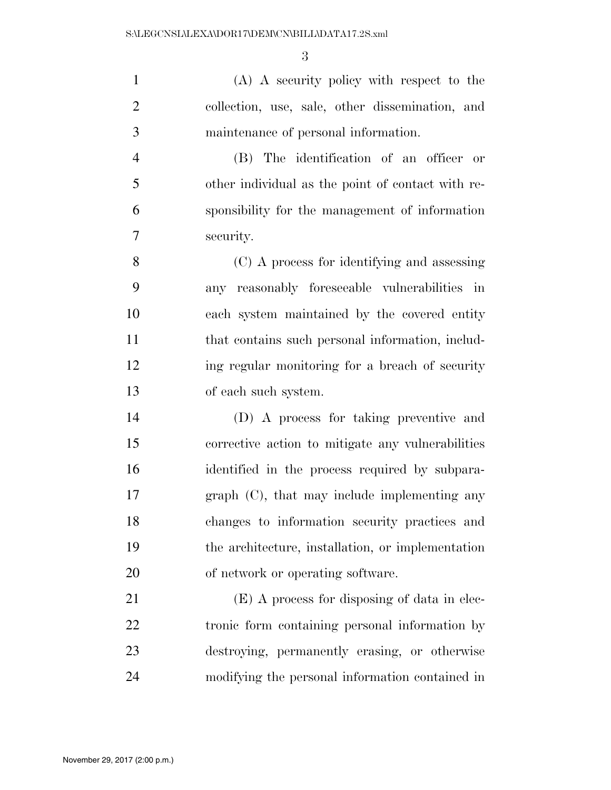(A) A security policy with respect to the collection, use, sale, other dissemination, and maintenance of personal information.

 (B) The identification of an officer or other individual as the point of contact with re- sponsibility for the management of information security.

 (C) A process for identifying and assessing any reasonably foreseeable vulnerabilities in each system maintained by the covered entity 11 that contains such personal information, includ-12 ing regular monitoring for a breach of security of each such system.

 (D) A process for taking preventive and corrective action to mitigate any vulnerabilities identified in the process required by subpara- graph (C), that may include implementing any changes to information security practices and the architecture, installation, or implementation of network or operating software.

 (E) A process for disposing of data in elec- tronic form containing personal information by destroying, permanently erasing, or otherwise modifying the personal information contained in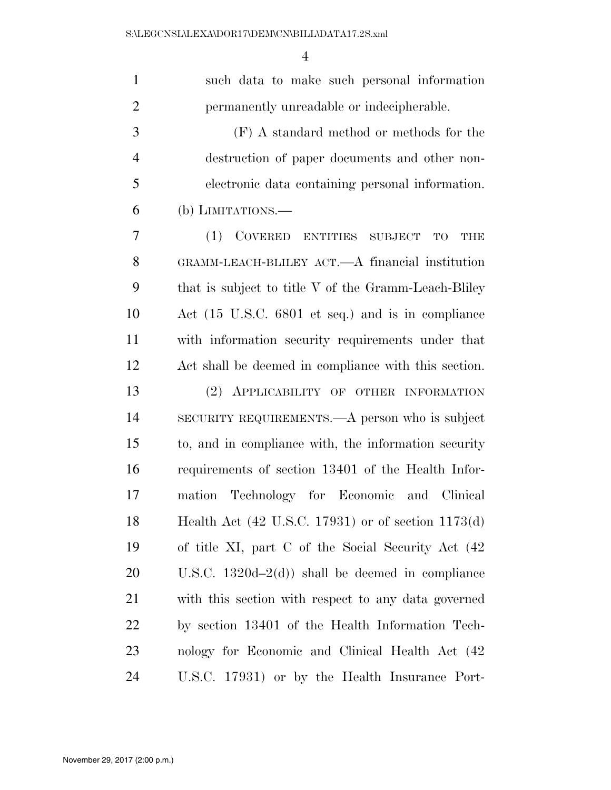| $\mathbf{1}$   | such data to make such personal information          |
|----------------|------------------------------------------------------|
| $\overline{2}$ | permanently unreadable or indecipherable.            |
| 3              | $(F)$ A standard method or methods for the           |
| $\overline{4}$ | destruction of paper documents and other non-        |
| 5              | electronic data containing personal information.     |
| 6              | (b) LIMITATIONS.—                                    |
| 7              | (1) COVERED ENTITIES SUBJECT<br><b>THE</b><br>TO     |
| 8              | GRAMM-LEACH-BLILEY ACT.—A financial institution      |
| 9              | that is subject to title V of the Gramm-Leach-Bliley |
| 10             | Act (15 U.S.C. 6801 et seq.) and is in compliance    |
| 11             | with information security requirements under that    |
| 12             | Act shall be deemed in compliance with this section. |
| 13             | (2) APPLICABILITY OF OTHER INFORMATION               |
| 14             | SECURITY REQUIREMENTS.—A person who is subject       |
| 15             | to, and in compliance with, the information security |
| 16             | requirements of section 13401 of the Health Infor-   |
| 17             | Technology for Economic and Clinical<br>mation       |
| 18             | Health Act (42 U.S.C. 17931) or of section 1173(d)   |
| 19             | of title XI, part C of the Social Security Act (42)  |
| 20             | U.S.C. $1320d-2(d)$ shall be deemed in compliance    |
| 21             | with this section with respect to any data governed  |
| 22             | by section 13401 of the Health Information Tech-     |
| 23             | nology for Economic and Clinical Health Act (42)     |
| 24             | U.S.C. 17931) or by the Health Insurance Port-       |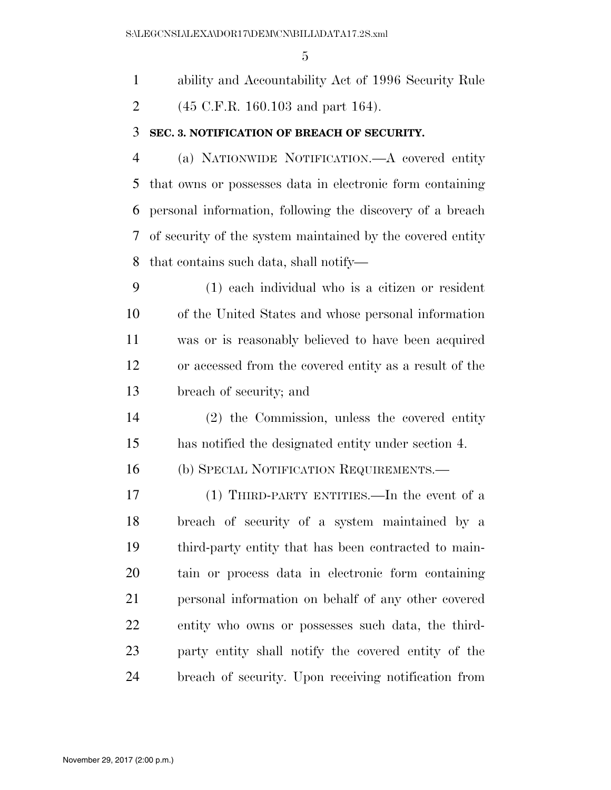ability and Accountability Act of 1996 Security Rule

2 (45 C.F.R. 160.103 and part 164).

## **SEC. 3. NOTIFICATION OF BREACH OF SECURITY.**

 (a) NATIONWIDE NOTIFICATION.—A covered entity that owns or possesses data in electronic form containing personal information, following the discovery of a breach of security of the system maintained by the covered entity that contains such data, shall notify—

 (1) each individual who is a citizen or resident of the United States and whose personal information was or is reasonably believed to have been acquired or accessed from the covered entity as a result of the breach of security; and

 (2) the Commission, unless the covered entity has notified the designated entity under section 4.

(b) SPECIAL NOTIFICATION REQUIREMENTS.—

 (1) THIRD-PARTY ENTITIES.—In the event of a breach of security of a system maintained by a third-party entity that has been contracted to main- tain or process data in electronic form containing personal information on behalf of any other covered entity who owns or possesses such data, the third- party entity shall notify the covered entity of the breach of security. Upon receiving notification from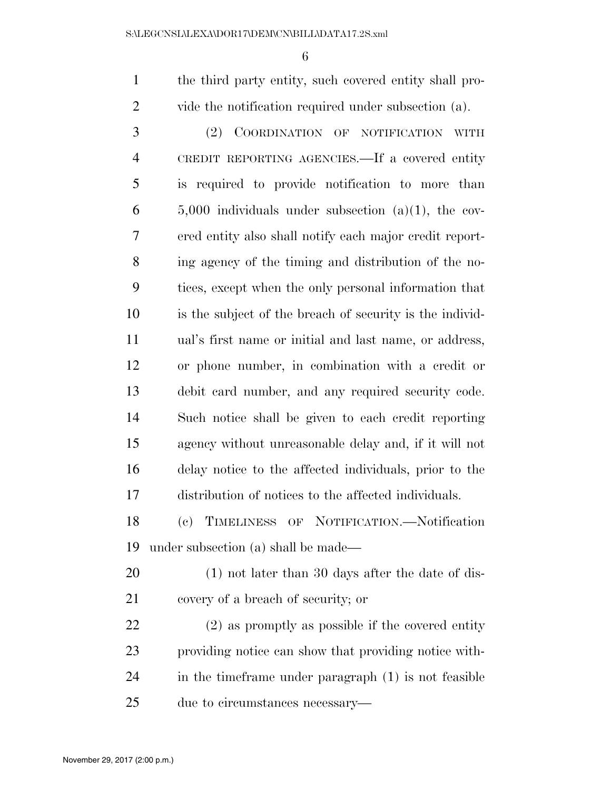the third party entity, such covered entity shall pro-vide the notification required under subsection (a).

 (2) COORDINATION OF NOTIFICATION WITH CREDIT REPORTING AGENCIES.—If a covered entity is required to provide notification to more than  $6 \qquad 5,000$  individuals under subsection (a)(1), the cov- ered entity also shall notify each major credit report- ing agency of the timing and distribution of the no- tices, except when the only personal information that is the subject of the breach of security is the individ- ual's first name or initial and last name, or address, or phone number, in combination with a credit or debit card number, and any required security code. Such notice shall be given to each credit reporting agency without unreasonable delay and, if it will not delay notice to the affected individuals, prior to the distribution of notices to the affected individuals.

 (c) TIMELINESS OF NOTIFICATION.—Notification under subsection (a) shall be made—

 (1) not later than 30 days after the date of dis-covery of a breach of security; or

 (2) as promptly as possible if the covered entity providing notice can show that providing notice with- in the timeframe under paragraph (1) is not feasible due to circumstances necessary—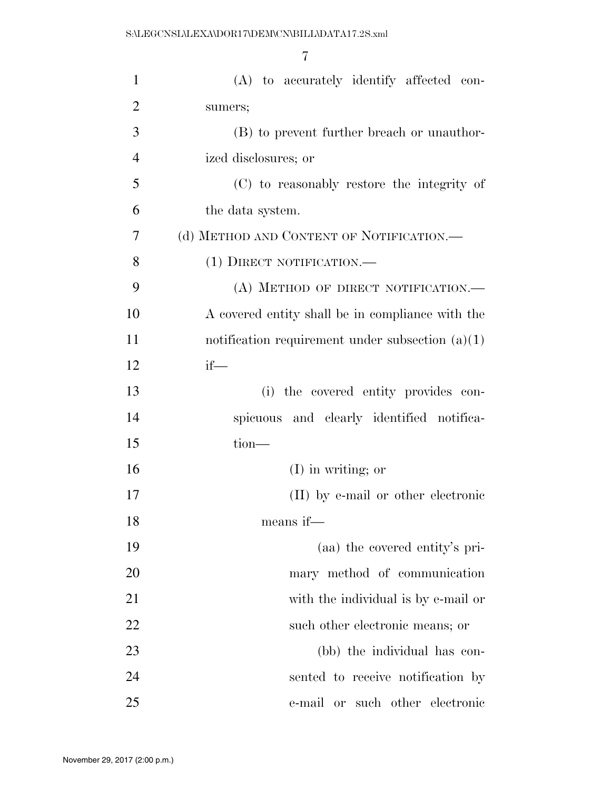| $\mathbf{1}$   | (A) to accurately identify affected con-           |
|----------------|----------------------------------------------------|
| $\overline{2}$ | sumers;                                            |
| 3              | (B) to prevent further breach or unauthor-         |
| $\overline{4}$ | ized disclosures; or                               |
| 5              | (C) to reasonably restore the integrity of         |
| 6              | the data system.                                   |
| 7              | (d) METHOD AND CONTENT OF NOTIFICATION.—           |
| 8              | (1) DIRECT NOTIFICATION.—                          |
| 9              | (A) METHOD OF DIRECT NOTIFICATION.—                |
| 10             | A covered entity shall be in compliance with the   |
| 11             | notification requirement under subsection $(a)(1)$ |
| 12             | $if$ —                                             |
| 13             | (i) the covered entity provides con-               |
| 14             | spicuous and clearly identified notifica-          |
| 15             | $tion$ —                                           |
| 16             | $(I)$ in writing; or                               |
| 17             | (II) by e-mail or other electronic                 |
| 18             | means if—                                          |
| 19             | (aa) the covered entity's pri-                     |
| 20             | mary method of communication                       |
| 21             | with the individual is by e-mail or                |
| 22             | such other electronic means; or                    |
| 23             | (bb) the individual has con-                       |
| 24             | sented to receive notification by                  |
| 25             | e-mail or such other electronic                    |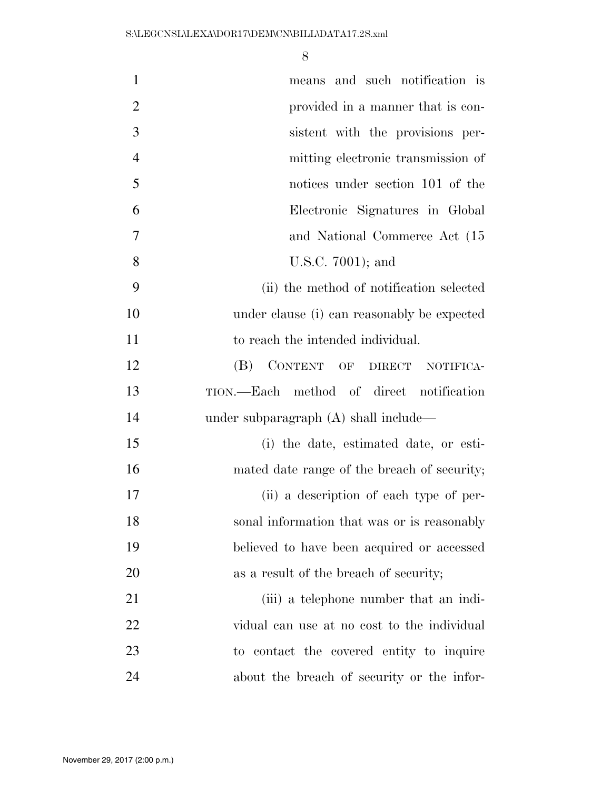| $\mathbf{1}$   | means and such notification is              |
|----------------|---------------------------------------------|
| $\overline{2}$ | provided in a manner that is con-           |
| 3              | sistent with the provisions per-            |
| $\overline{4}$ | mitting electronic transmission of          |
| 5              | notices under section 101 of the            |
| 6              | Electronic Signatures in Global             |
| 7              | and National Commerce Act (15)              |
| 8              | U.S.C. 7001); and                           |
| 9              | (ii) the method of notification selected    |
| 10             | under clause (i) can reasonably be expected |
| 11             | to reach the intended individual.           |
| 12             | CONTENT OF DIRECT<br>(B)<br>NOTIFICA-       |
| 13             | TION.—Each method of direct notification    |
| 14             | under subparagraph (A) shall include—       |
| 15             | (i) the date, estimated date, or esti-      |
| 16             | mated date range of the breach of security; |
| 17             | (ii) a description of each type of per-     |
| 18             | sonal information that was or is reasonably |
| 19             | believed to have been acquired or accessed  |
| 20             | as a result of the breach of security;      |
| 21             | (iii) a telephone number that an indi-      |
| 22             | vidual can use at no cost to the individual |
| 23             | to contact the covered entity to inquire    |
| 24             | about the breach of security or the infor-  |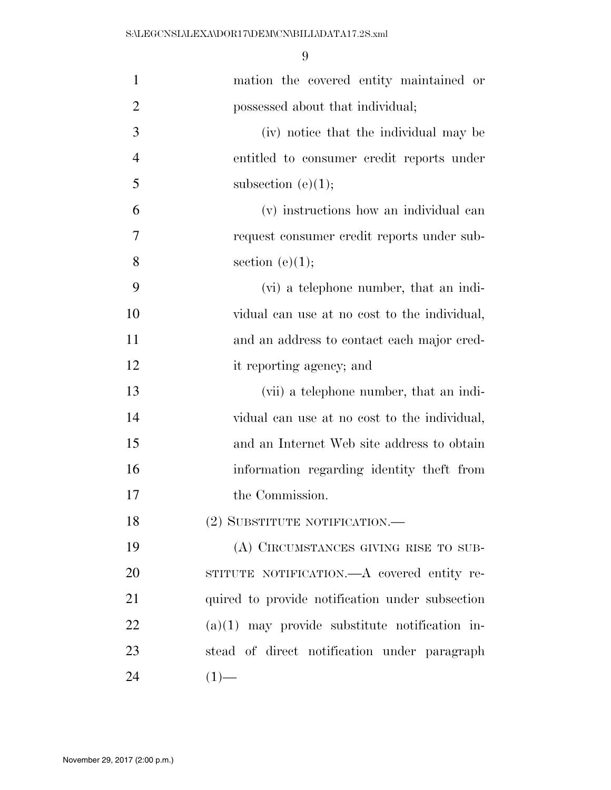| $\mathbf{1}$   | mation the covered entity maintained or          |
|----------------|--------------------------------------------------|
| $\overline{2}$ | possessed about that individual;                 |
| 3              | (iv) notice that the individual may be           |
| $\overline{4}$ | entitled to consumer credit reports under        |
| 5              | subsection $(e)(1);$                             |
| 6              | (v) instructions how an individual can           |
| 7              | request consumer credit reports under sub-       |
| 8              | section $(e)(1);$                                |
| 9              | (vi) a telephone number, that an indi-           |
| 10             | vidual can use at no cost to the individual,     |
| 11             | and an address to contact each major cred-       |
| 12             | it reporting agency; and                         |
| 13             | (vii) a telephone number, that an indi-          |
| 14             | vidual can use at no cost to the individual,     |
| 15             | and an Internet Web site address to obtain       |
| 16             | information regarding identity theft from        |
| 17             | the Commission.                                  |
| 18             | (2) SUBSTITUTE NOTIFICATION.—                    |
| 19             | (A) CIRCUMSTANCES GIVING RISE TO SUB-            |
| 20             | STITUTE NOTIFICATION.—A covered entity re-       |
| 21             | quired to provide notification under subsection  |
| 22             | $(a)(1)$ may provide substitute notification in- |
| 23             | stead of direct notification under paragraph     |
| 24             | $(1)$ —                                          |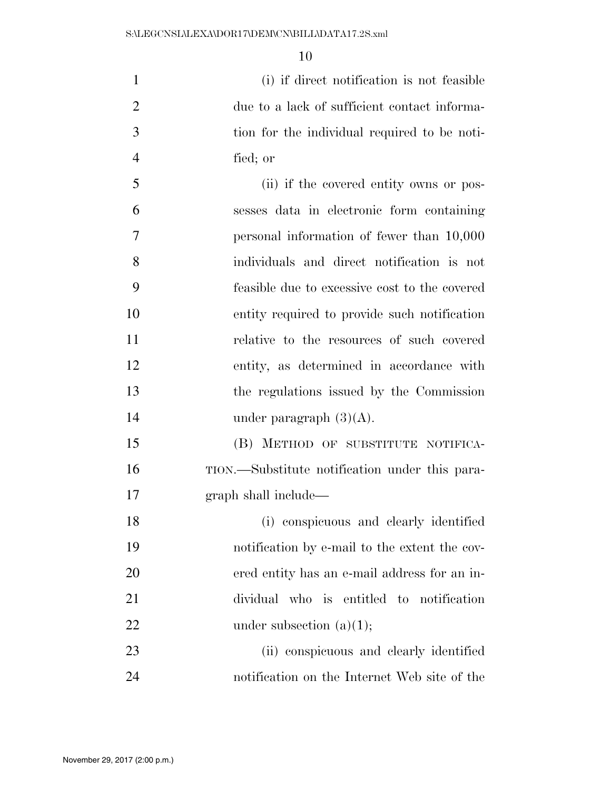(i) if direct notification is not feasible due to a lack of sufficient contact informa- tion for the individual required to be noti-fied; or

 (ii) if the covered entity owns or pos- sesses data in electronic form containing personal information of fewer than 10,000 individuals and direct notification is not feasible due to excessive cost to the covered entity required to provide such notification relative to the resources of such covered entity, as determined in accordance with the regulations issued by the Commission under paragraph (3)(A).

 (B) METHOD OF SUBSTITUTE NOTIFICA- TION.—Substitute notification under this para-graph shall include—

 (i) conspicuous and clearly identified notification by e-mail to the extent the cov- ered entity has an e-mail address for an in- dividual who is entitled to notification 22 under subsection  $(a)(1);$ 

 (ii) conspicuous and clearly identified notification on the Internet Web site of the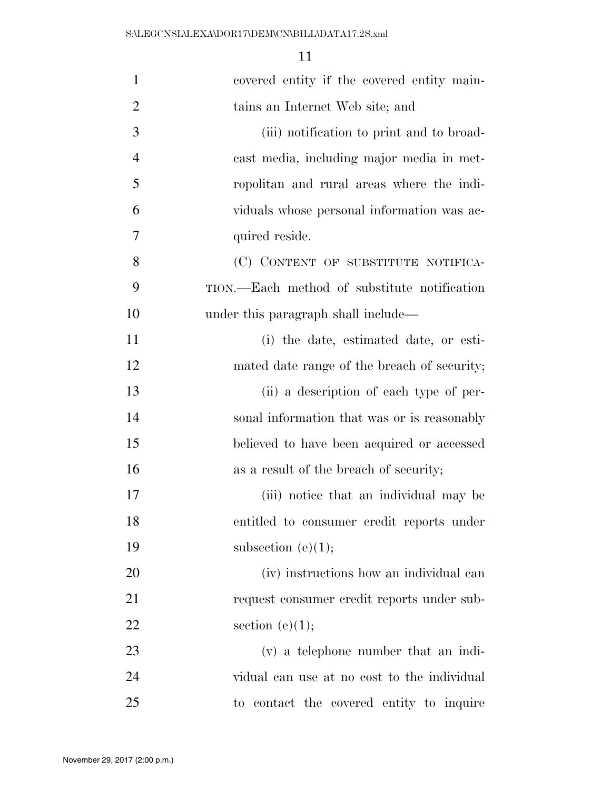| $\mathbf{1}$   | covered entity if the covered entity main-   |
|----------------|----------------------------------------------|
| $\overline{2}$ | tains an Internet Web site; and              |
| 3              | (iii) notification to print and to broad-    |
| $\overline{4}$ | cast media, including major media in met-    |
| 5              | ropolitan and rural areas where the indi-    |
| 6              | viduals whose personal information was ac-   |
| 7              | quired reside.                               |
| 8              | (C) CONTENT OF SUBSTITUTE NOTIFICA-          |
| 9              | TION.—Each method of substitute notification |
| 10             | under this paragraph shall include—          |
| 11             | (i) the date, estimated date, or esti-       |
| 12             | mated date range of the breach of security;  |
| 13             | (ii) a description of each type of per-      |
| 14             | sonal information that was or is reasonably  |
| 15             | believed to have been acquired or accessed   |
| 16             | as a result of the breach of security;       |
| 17             | (iii) notice that an individual may be       |
| 18             | entitled to consumer credit reports under    |
| 19             | subsection $(e)(1);$                         |
| 20             | (iv) instructions how an individual can      |
| 21             | request consumer credit reports under sub-   |
| 22             | section $(e)(1);$                            |
| 23             | (v) a telephone number that an indi-         |
| 24             | vidual can use at no cost to the individual  |
| 25             | to contact the covered entity to inquire     |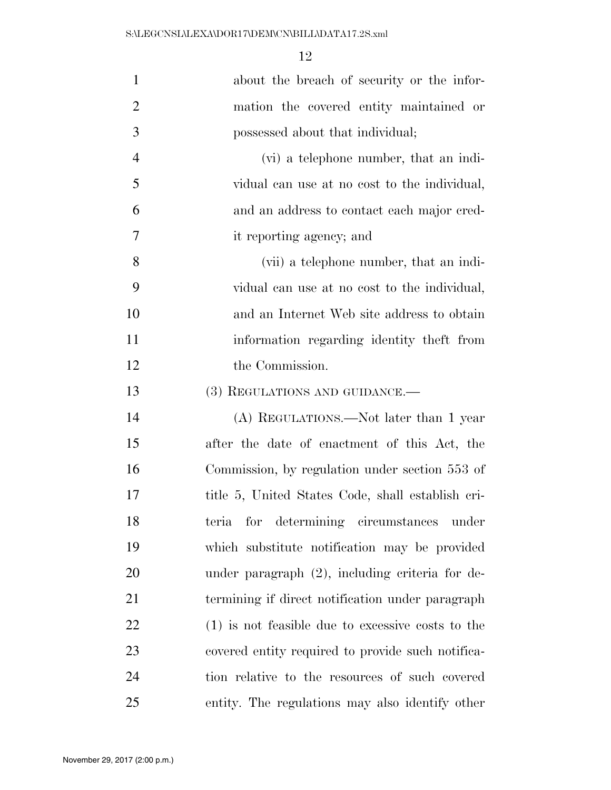| $\mathbf{1}$   | about the breach of security or the infor-          |
|----------------|-----------------------------------------------------|
| $\overline{2}$ | mation the covered entity maintained or             |
| 3              | possessed about that individual;                    |
| $\overline{4}$ | (vi) a telephone number, that an indi-              |
| 5              | vidual can use at no cost to the individual,        |
| 6              | and an address to contact each major cred-          |
| 7              | it reporting agency; and                            |
| 8              | (vii) a telephone number, that an indi-             |
| 9              | vidual can use at no cost to the individual,        |
| 10             | and an Internet Web site address to obtain          |
| 11             | information regarding identity theft from           |
| 12             | the Commission.                                     |
| 13             | (3) REGULATIONS AND GUIDANCE.—                      |
| 14             | (A) REGULATIONS.—Not later than 1 year              |
| 15             | after the date of enactment of this Act, the        |
| 16             | Commission, by regulation under section 553 of      |
| 17             | title 5, United States Code, shall establish cri-   |
| 18             | for determining circumstances under<br>teria        |
| 19             | which substitute notification may be provided       |
| 20             | under paragraph $(2)$ , including criteria for de-  |
| 21             | termining if direct notification under paragraph    |
| 22             | $(1)$ is not feasible due to excessive costs to the |
| 23             | covered entity required to provide such notifica-   |
| 24             | tion relative to the resources of such covered      |
| 25             | entity. The regulations may also identify other     |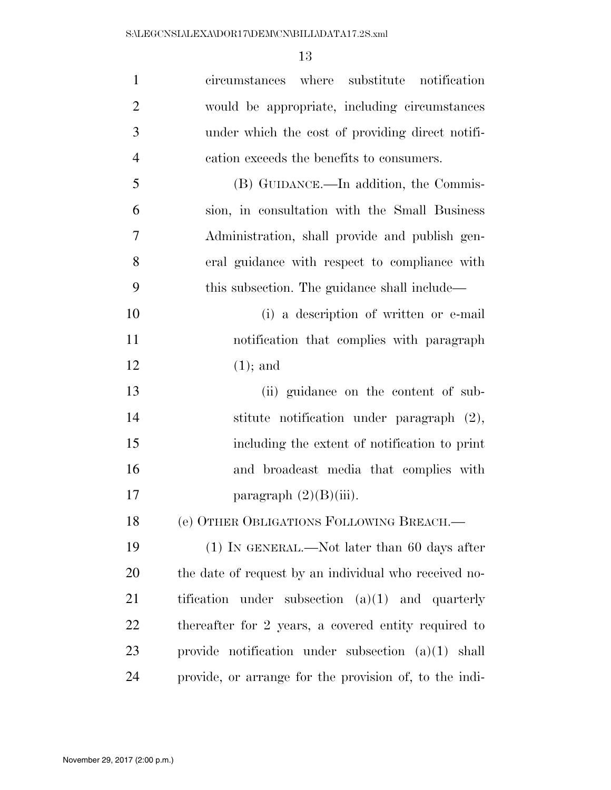| $\mathbf{1}$   | circumstances where substitute notification            |
|----------------|--------------------------------------------------------|
| $\overline{2}$ | would be appropriate, including circumstances          |
| 3              | under which the cost of providing direct notifi-       |
| $\overline{4}$ | cation exceeds the benefits to consumers.              |
| 5              | (B) GUIDANCE.—In addition, the Commis-                 |
| 6              | sion, in consultation with the Small Business          |
| 7              | Administration, shall provide and publish gen-         |
| 8              | eral guidance with respect to compliance with          |
| 9              | this subsection. The guidance shall include—           |
| 10             | (i) a description of written or e-mail                 |
| 11             | notification that complies with paragraph              |
| 12             | $(1);$ and                                             |
| 13             | (ii) guidance on the content of sub-                   |
| 14             | stitute notification under paragraph (2),              |
| 15             | including the extent of notification to print          |
| 16             | and broadcast media that complies with                 |
| 17             | paragraph $(2)(B)(iii)$ .                              |
| 18             | (e) OTHER OBLIGATIONS FOLLOWING BREACH.-               |
| 19             | $(1)$ In GENERAL.—Not later than 60 days after         |
| 20             | the date of request by an individual who received no-  |
| 21             | tification under subsection $(a)(1)$ and quarterly     |
| 22             | thereafter for 2 years, a covered entity required to   |
| 23             | provide notification under subsection $(a)(1)$ shall   |
| 24             | provide, or arrange for the provision of, to the indi- |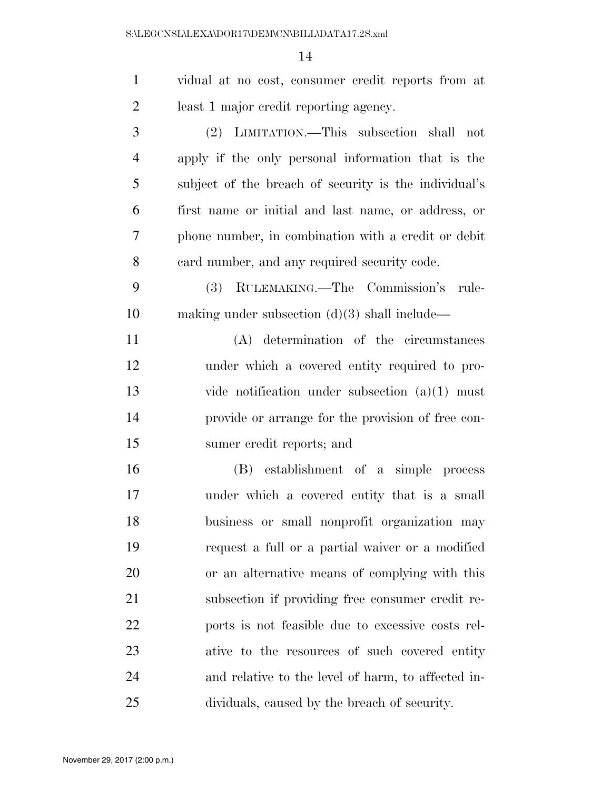| $\mathbf{1}$   | vidual at no cost, consumer credit reports from at    |
|----------------|-------------------------------------------------------|
| $\overline{2}$ | least 1 major credit reporting agency.                |
| 3              | (2) LIMITATION.—This subsection shall not             |
| $\overline{4}$ | apply if the only personal information that is the    |
| 5              | subject of the breach of security is the individual's |
| 6              | first name or initial and last name, or address, or   |
| 7              | phone number, in combination with a credit or debit   |
| 8              | eard number, and any required security code.          |
| 9              | RULEMAKING.—The Commission's rule-<br>(3)             |
| 10             | making under subsection $(d)(3)$ shall include—       |
| 11             | (A) determination of the circumstances                |
| 12             | under which a covered entity required to pro-         |
| 13             | vide notification under subsection $(a)(1)$ must      |
| 14             | provide or arrange for the provision of free con-     |
| 15             | sumer credit reports; and                             |
| 16             | (B) establishment of a simple process                 |
| 17             | under which a covered entity that is a small          |
| 18             | business or small nonprofit organization may          |
| 19             | request a full or a partial waiver or a modified      |
| 20             | or an alternative means of complying with this        |
| 21             | subsection if providing free consumer credit re-      |
| 22             | ports is not feasible due to excessive costs rel-     |
| 23             | ative to the resources of such covered entity         |
| 24             | and relative to the level of harm, to affected in-    |
| 25             | dividuals, caused by the breach of security.          |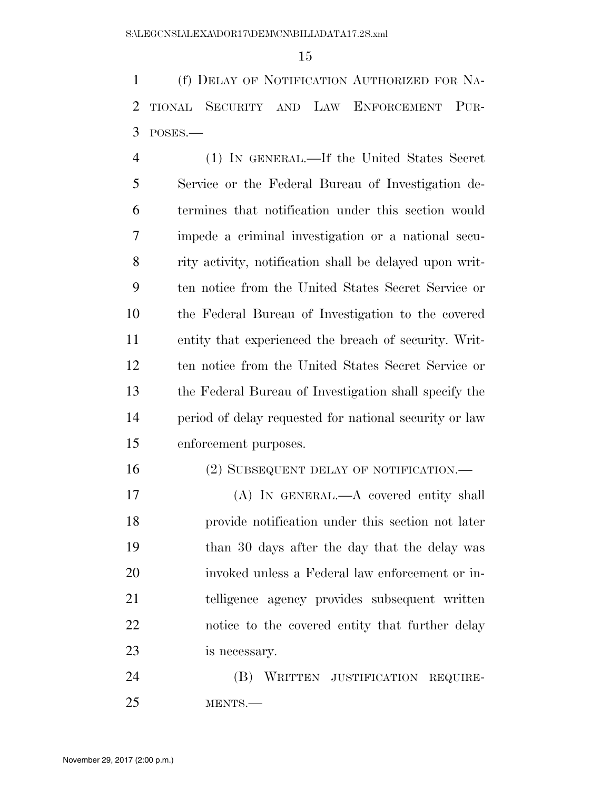(f) DELAY OF NOTIFICATION AUTHORIZED FOR NA- TIONAL SECURITY AND LAW ENFORCEMENT PUR-POSES.—

 (1) IN GENERAL.—If the United States Secret Service or the Federal Bureau of Investigation de- termines that notification under this section would impede a criminal investigation or a national secu- rity activity, notification shall be delayed upon writ- ten notice from the United States Secret Service or the Federal Bureau of Investigation to the covered entity that experienced the breach of security. Writ- ten notice from the United States Secret Service or the Federal Bureau of Investigation shall specify the period of delay requested for national security or law enforcement purposes.

# 16 (2) SUBSEQUENT DELAY OF NOTIFICATION.—

 (A) IN GENERAL.—A covered entity shall provide notification under this section not later than 30 days after the day that the delay was invoked unless a Federal law enforcement or in- telligence agency provides subsequent written notice to the covered entity that further delay is necessary.

 (B) WRITTEN JUSTIFICATION REQUIRE-MENTS.—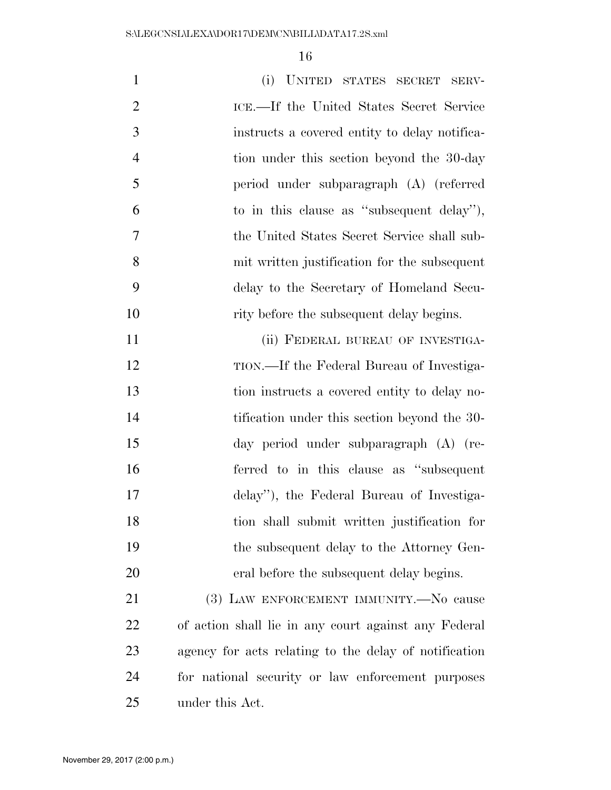| $\mathbf{1}$   | (i) UNITED STATES SECRET SERV-                        |
|----------------|-------------------------------------------------------|
| $\overline{2}$ | ICE.—If the United States Secret Service              |
| 3              | instructs a covered entity to delay notifica-         |
| $\overline{4}$ | tion under this section beyond the 30-day             |
| 5              | period under subparagraph (A) (referred               |
| 6              | to in this clause as "subsequent delay"),             |
| $\overline{7}$ | the United States Secret Service shall sub-           |
| 8              | mit written justification for the subsequent          |
| 9              | delay to the Secretary of Homeland Secu-              |
| 10             | rity before the subsequent delay begins.              |
| 11             | (ii) FEDERAL BUREAU OF INVESTIGA-                     |
| 12             | TION.—If the Federal Bureau of Investiga-             |
| 13             | tion instructs a covered entity to delay no-          |
| 14             | tification under this section beyond the 30-          |
| 15             | day period under subparagraph (A) (re-                |
| 16             | ferred to in this clause as "subsequent"              |
| 17             | delay", the Federal Bureau of Investiga-              |
| 18             | tion shall submit written justification for           |
| 19             | the subsequent delay to the Attorney Gen-             |
| 20             | eral before the subsequent delay begins.              |
| 21             | (3) LAW ENFORCEMENT IMMUNITY.-No cause                |
| 22             | of action shall lie in any court against any Federal  |
| 23             | agency for acts relating to the delay of notification |
| 24             | for national security or law enforcement purposes     |

under this Act.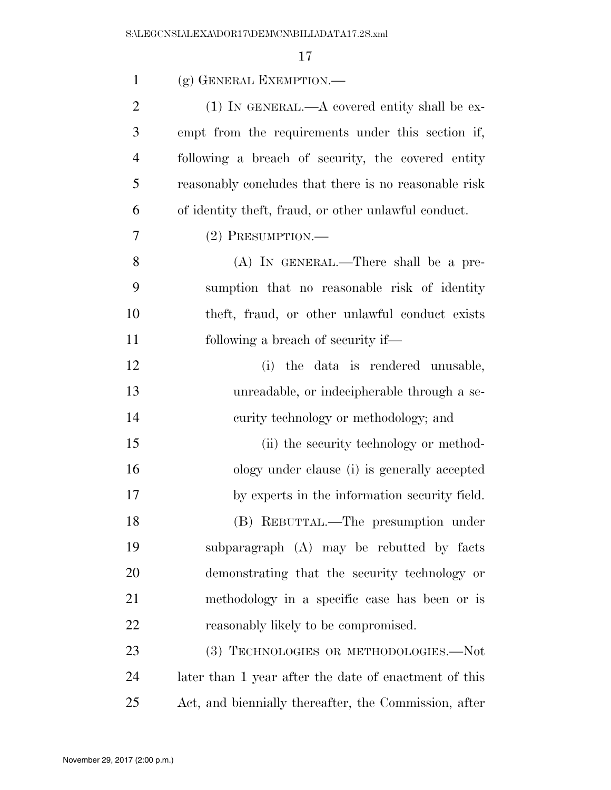| $\mathbf{1}$   | (g) GENERAL EXEMPTION.—                               |
|----------------|-------------------------------------------------------|
| $\overline{2}$ | $(1)$ IN GENERAL.—A covered entity shall be ex-       |
| 3              | empt from the requirements under this section if,     |
| $\overline{4}$ | following a breach of security, the covered entity    |
| 5              | reasonably concludes that there is no reasonable risk |
| 6              | of identity theft, fraud, or other unlawful conduct.  |
| 7              | (2) PRESUMPTION.                                      |
| 8              | (A) IN GENERAL.—There shall be a pre-                 |
| 9              | sumption that no reasonable risk of identity          |
| 10             | theft, fraud, or other unlawful conduct exists        |
| 11             | following a breach of security if—                    |
| 12             | (i) the data is rendered unusable,                    |
| 13             | unreadable, or indecipherable through a se-           |
| 14             | curity technology or methodology; and                 |
| 15             | (ii) the security technology or method-               |
| 16             | ology under clause (i) is generally accepted          |
| 17             | by experts in the information security field.         |
| 18             | (B) REBUTTAL.—The presumption under                   |
| 19             | subparagraph (A) may be rebutted by facts             |
| 20             | demonstrating that the security technology or         |
| 21             | methodology in a specific case has been or is         |
| 22             | reasonably likely to be compromised.                  |
| 23             | (3) TECHNOLOGIES OR METHODOLOGIES.-Not                |
| 24             | later than 1 year after the date of enactment of this |
| 25             | Act, and biennially thereafter, the Commission, after |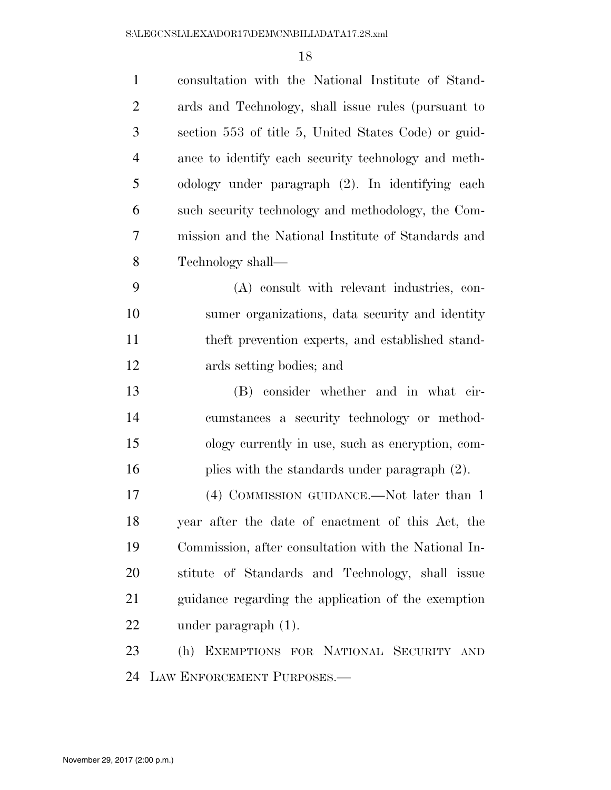| $\mathbf{1}$   | consultation with the National Institute of Stand-   |
|----------------|------------------------------------------------------|
| $\overline{2}$ | ards and Technology, shall issue rules (pursuant to  |
| 3              | section 553 of title 5, United States Code) or guid- |
| $\overline{4}$ | ance to identify each security technology and meth-  |
| 5              | odology under paragraph (2). In identifying each     |
| 6              | such security technology and methodology, the Com-   |
| 7              | mission and the National Institute of Standards and  |
| 8              | Technology shall—                                    |
| 9              | (A) consult with relevant industries, con-           |
| 10             | sumer organizations, data security and identity      |
| 11             | theft prevention experts, and established stand-     |
| 12             | ards setting bodies; and                             |
| 13             | (B) consider whether and in what cir-                |
| 14             | cumstances a security technology or method-          |
| 15             | ology currently in use, such as encryption, com-     |
| 16             | plies with the standards under paragraph (2).        |
| 17             | (4) COMMISSION GUIDANCE.—Not later than 1            |
| 18             | year after the date of enactment of this Act, the    |
| 19             | Commission, after consultation with the National In- |
| 20             | stitute of Standards and Technology, shall issue     |
| 21             | guidance regarding the application of the exemption  |
| 22             | under paragraph $(1)$ .                              |
| 23             | (h) EXEMPTIONS FOR NATIONAL SECURITY AND             |
| 24             | LAW ENFORCEMENT PURPOSES.—                           |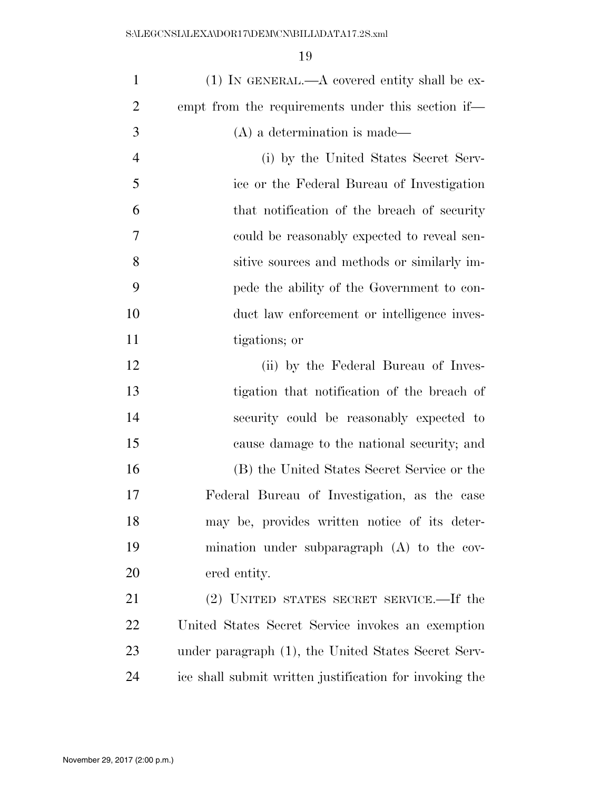| $\mathbf{1}$   | $(1)$ In GENERAL.—A covered entity shall be ex-         |
|----------------|---------------------------------------------------------|
| $\overline{2}$ | empt from the requirements under this section if—       |
| 3              | (A) a determination is made—                            |
| $\overline{4}$ | (i) by the United States Secret Serv-                   |
| 5              | ice or the Federal Bureau of Investigation              |
| 6              | that notification of the breach of security             |
| 7              | could be reasonably expected to reveal sen-             |
| 8              | sitive sources and methods or similarly im-             |
| 9              | pede the ability of the Government to con-              |
| 10             | duct law enforcement or intelligence inves-             |
| 11             | tigations; or                                           |
| 12             | (ii) by the Federal Bureau of Inves-                    |
| 13             | tigation that notification of the breach of             |
| 14             | security could be reasonably expected to                |
| 15             | cause damage to the national security; and              |
| 16             | (B) the United States Secret Service or the             |
| 17             | Federal Bureau of Investigation, as the case            |
| 18             | may be, provides written notice of its deter-           |
| 19             | mination under subparagraph $(A)$ to the cov-           |
| 20             | ered entity.                                            |
| 21             | (2) UNITED STATES SECRET SERVICE.—If the                |
| 22             | United States Secret Service invokes an exemption       |
| 23             | under paragraph (1), the United States Secret Serv-     |
| 24             | ice shall submit written justification for invoking the |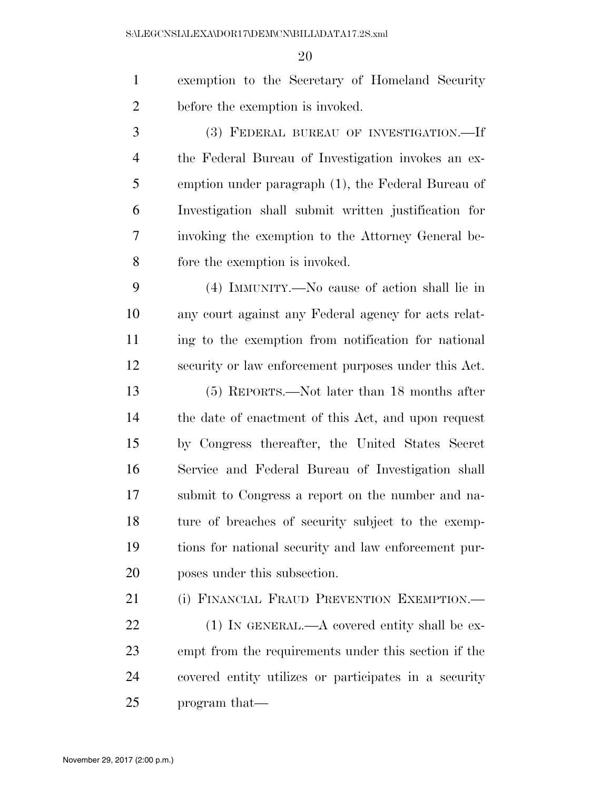exemption to the Secretary of Homeland Security before the exemption is invoked.

 (3) FEDERAL BUREAU OF INVESTIGATION.—If the Federal Bureau of Investigation invokes an ex- emption under paragraph (1), the Federal Bureau of Investigation shall submit written justification for invoking the exemption to the Attorney General be-fore the exemption is invoked.

 (4) IMMUNITY.—No cause of action shall lie in any court against any Federal agency for acts relat- ing to the exemption from notification for national security or law enforcement purposes under this Act.

 (5) REPORTS.—Not later than 18 months after the date of enactment of this Act, and upon request by Congress thereafter, the United States Secret Service and Federal Bureau of Investigation shall submit to Congress a report on the number and na- ture of breaches of security subject to the exemp- tions for national security and law enforcement pur-poses under this subsection.

21 (i) FINANCIAL FRAUD PREVENTION EXEMPTION.—

22 (1) IN GENERAL.—A covered entity shall be ex- empt from the requirements under this section if the covered entity utilizes or participates in a security program that—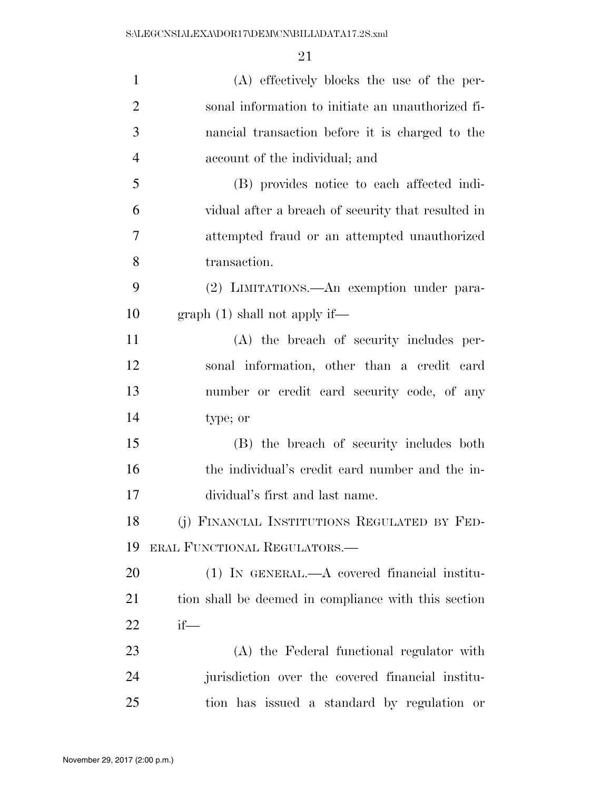| $\mathbf{1}$   | (A) effectively blocks the use of the per-           |
|----------------|------------------------------------------------------|
| $\overline{2}$ | sonal information to initiate an unauthorized fi-    |
| 3              | nancial transaction before it is charged to the      |
| $\overline{4}$ | account of the individual; and                       |
| 5              | (B) provides notice to each affected indi-           |
| 6              | vidual after a breach of security that resulted in   |
| 7              | attempted fraud or an attempted unauthorized         |
| 8              | transaction.                                         |
| 9              | (2) LIMITATIONS.—An exemption under para-            |
| 10             | graph(1) shall not apply if—                         |
| 11             | (A) the breach of security includes per-             |
| 12             | sonal information, other than a credit card          |
| 13             | number or credit card security code, of any          |
| 14             | type; or                                             |
| 15             | (B) the breach of security includes both             |
| 16             | the individual's credit card number and the in-      |
| 17             | dividual's first and last name.                      |
| 18             | (j) FINANCIAL INSTITUTIONS REGULATED BY FED-         |
| 19             | ERAL FUNCTIONAL REGULATORS.—                         |
| 20             | $(1)$ In GENERAL.—A covered financial institu-       |
| 21             | tion shall be deemed in compliance with this section |
| <u>22</u>      | $if$ —                                               |
| 23             | (A) the Federal functional regulator with            |
| 24             | jurisdiction over the covered financial institu-     |
| 25             | tion has issued a standard by regulation or          |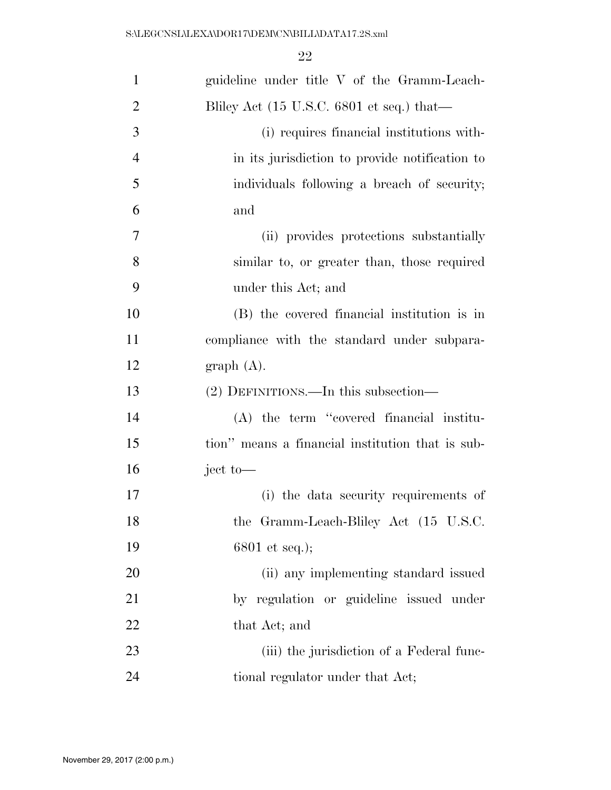| $\mathbf{1}$   | guideline under title V of the Gramm-Leach-                           |
|----------------|-----------------------------------------------------------------------|
| $\overline{2}$ | Bliley Act $(15 \text{ U.S.C. } 6801 \text{ et seq.}) \text{ that}$ — |
| 3              | (i) requires financial institutions with-                             |
| $\overline{4}$ | in its jurisdiction to provide notification to                        |
| 5              | individuals following a breach of security;                           |
| 6              | and                                                                   |
| 7              | (ii) provides protections substantially                               |
| 8              | similar to, or greater than, those required                           |
| 9              | under this Act; and                                                   |
| 10             | (B) the covered financial institution is in                           |
| 11             | compliance with the standard under subpara-                           |
| 12             | graph(A).                                                             |
| 13             | (2) DEFINITIONS.—In this subsection—                                  |
| 14             | (A) the term "covered financial institu-                              |
| 15             | tion" means a financial institution that is sub-                      |
| 16             | ject to-                                                              |
| 17             | (i) the data security requirements of                                 |
| 18             | the Gramm-Leach-Bliley Act (15 U.S.C.                                 |
| 19             | $6801$ et seq.);                                                      |
| 20             | (ii) any implementing standard issued                                 |
| 21             | by regulation or guideline issued under                               |
| 22             | that Act; and                                                         |
| 23             |                                                                       |
|                | (iii) the jurisdiction of a Federal func-                             |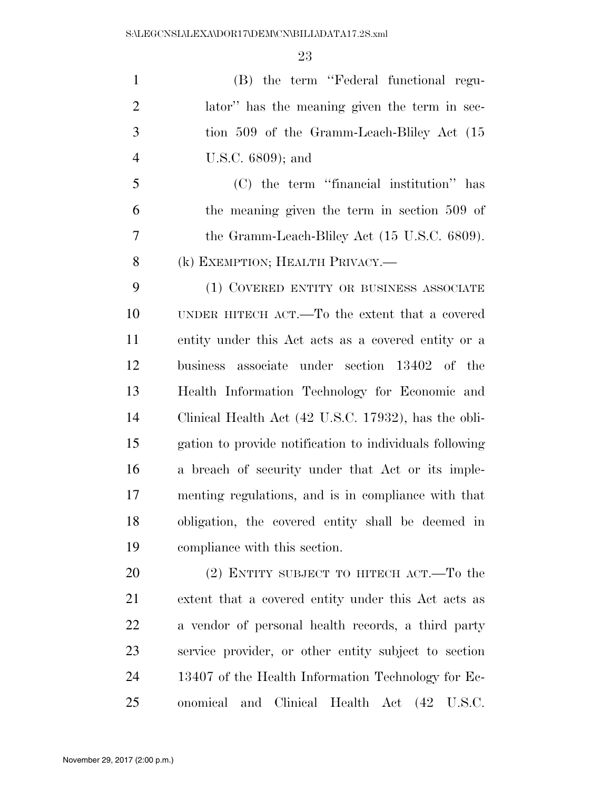(B) the term ''Federal functional regu- lator'' has the meaning given the term in sec- tion 509 of the Gramm-Leach-Bliley Act (15 U.S.C. 6809); and

 (C) the term ''financial institution'' has the meaning given the term in section 509 of the Gramm-Leach-Bliley Act (15 U.S.C. 6809). 8 (k) EXEMPTION; HEALTH PRIVACY.—

 (1) COVERED ENTITY OR BUSINESS ASSOCIATE UNDER HITECH ACT.—To the extent that a covered entity under this Act acts as a covered entity or a business associate under section 13402 of the Health Information Technology for Economic and Clinical Health Act (42 U.S.C. 17932), has the obli- gation to provide notification to individuals following a breach of security under that Act or its imple- menting regulations, and is in compliance with that obligation, the covered entity shall be deemed in compliance with this section.

20 (2) ENTITY SUBJECT TO HITECH ACT.—To the extent that a covered entity under this Act acts as a vendor of personal health records, a third party service provider, or other entity subject to section 13407 of the Health Information Technology for Ec-onomical and Clinical Health Act (42 U.S.C.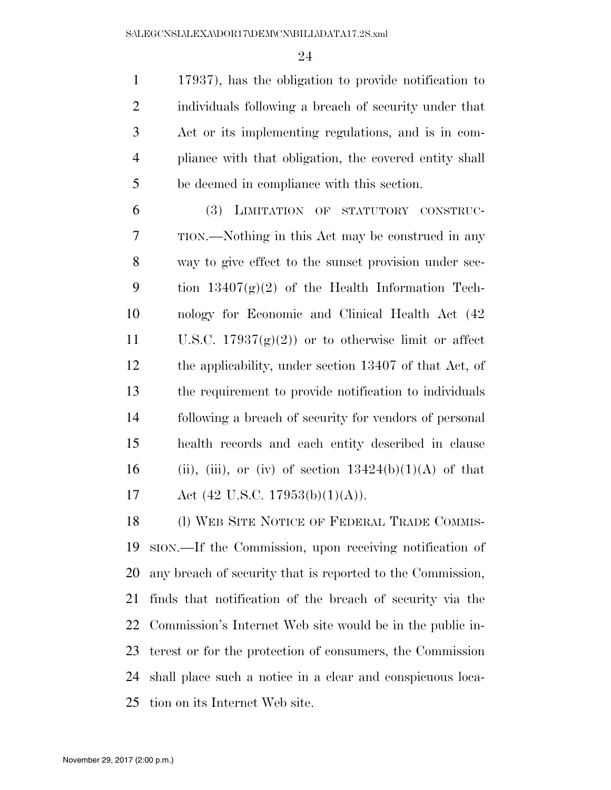17937), has the obligation to provide notification to individuals following a breach of security under that Act or its implementing regulations, and is in com- pliance with that obligation, the covered entity shall be deemed in compliance with this section.

 (3) LIMITATION OF STATUTORY CONSTRUC- TION.—Nothing in this Act may be construed in any way to give effect to the sunset provision under sec-9 tion  $13407(g)(2)$  of the Health Information Tech- nology for Economic and Clinical Health Act (42 11 U.S.C.  $17937(g)(2)$  or to otherwise limit or affect the applicability, under section 13407 of that Act, of the requirement to provide notification to individuals following a breach of security for vendors of personal health records and each entity described in clause 16 (ii), (iii), or (iv) of section  $13424(b)(1)(A)$  of that 17 Act  $(42 \text{ U.S.C. } 17953(b)(1)(A)).$ 

18 (1) WEB SITE NOTICE OF FEDERAL TRADE COMMIS- SION.—If the Commission, upon receiving notification of any breach of security that is reported to the Commission, finds that notification of the breach of security via the Commission's Internet Web site would be in the public in- terest or for the protection of consumers, the Commission shall place such a notice in a clear and conspicuous loca-tion on its Internet Web site.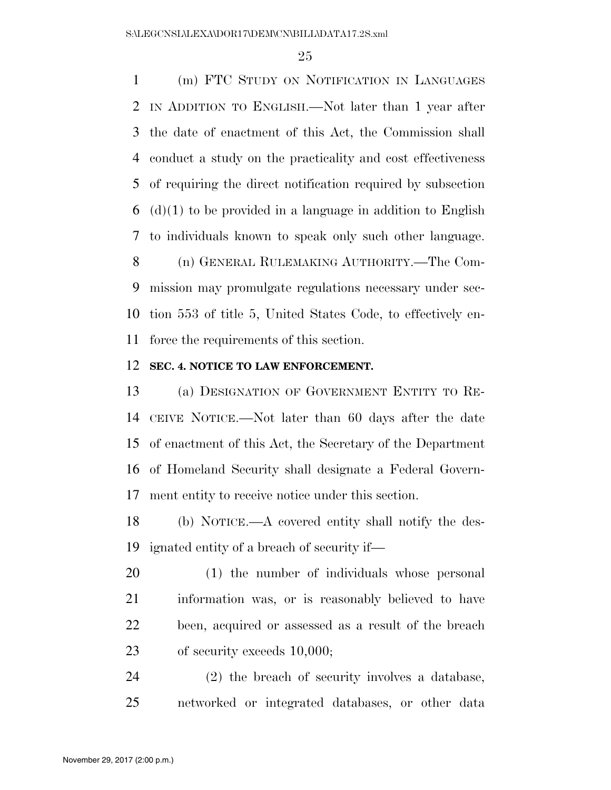(m) FTC STUDY ON NOTIFICATION IN LANGUAGES IN ADDITION TO ENGLISH.—Not later than 1 year after the date of enactment of this Act, the Commission shall conduct a study on the practicality and cost effectiveness of requiring the direct notification required by subsection (d)(1) to be provided in a language in addition to English to individuals known to speak only such other language. (n) GENERAL RULEMAKING AUTHORITY.—The Com- mission may promulgate regulations necessary under sec- tion 553 of title 5, United States Code, to effectively en-force the requirements of this section.

#### **SEC. 4. NOTICE TO LAW ENFORCEMENT.**

 (a) DESIGNATION OF GOVERNMENT ENTITY TO RE- CEIVE NOTICE.—Not later than 60 days after the date of enactment of this Act, the Secretary of the Department of Homeland Security shall designate a Federal Govern-ment entity to receive notice under this section.

 (b) NOTICE.—A covered entity shall notify the des-ignated entity of a breach of security if—

 (1) the number of individuals whose personal information was, or is reasonably believed to have been, acquired or assessed as a result of the breach 23 of security exceeds 10,000;

 (2) the breach of security involves a database, networked or integrated databases, or other data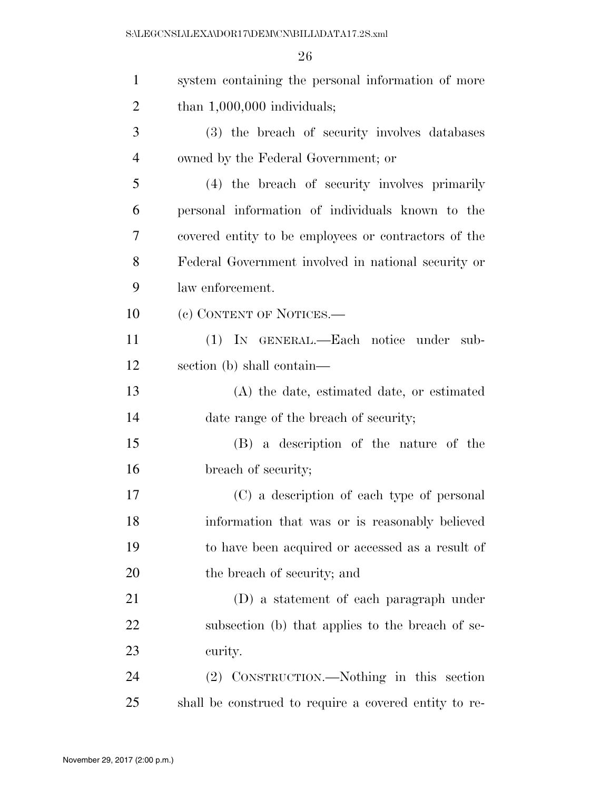| $\mathbf{1}$   | system containing the personal information of more    |
|----------------|-------------------------------------------------------|
| $\overline{2}$ | than $1,000,000$ individuals;                         |
| 3              | (3) the breach of security involves databases         |
| $\overline{4}$ | owned by the Federal Government; or                   |
| 5              | (4) the breach of security involves primarily         |
| 6              | personal information of individuals known to the      |
| 7              | covered entity to be employees or contractors of the  |
| 8              | Federal Government involved in national security or   |
| 9              | law enforcement.                                      |
| 10             | (c) CONTENT OF NOTICES.—                              |
| 11             | (1) IN GENERAL.—Each notice under sub-                |
| 12             | section (b) shall contain—                            |
| 13             | (A) the date, estimated date, or estimated            |
| 14             | date range of the breach of security;                 |
| 15             | (B) a description of the nature of the                |
| 16             | breach of security;                                   |
| 17             | (C) a description of each type of personal            |
| 18             | information that was or is reasonably believed        |
| 19             | to have been acquired or accessed as a result of      |
| 20             | the breach of security; and                           |
| 21             | (D) a statement of each paragraph under               |
| 22             | subsection (b) that applies to the breach of se-      |
| 23             | curity.                                               |
| 24             | (2) CONSTRUCTION.—Nothing in this section             |
| 25             | shall be construed to require a covered entity to re- |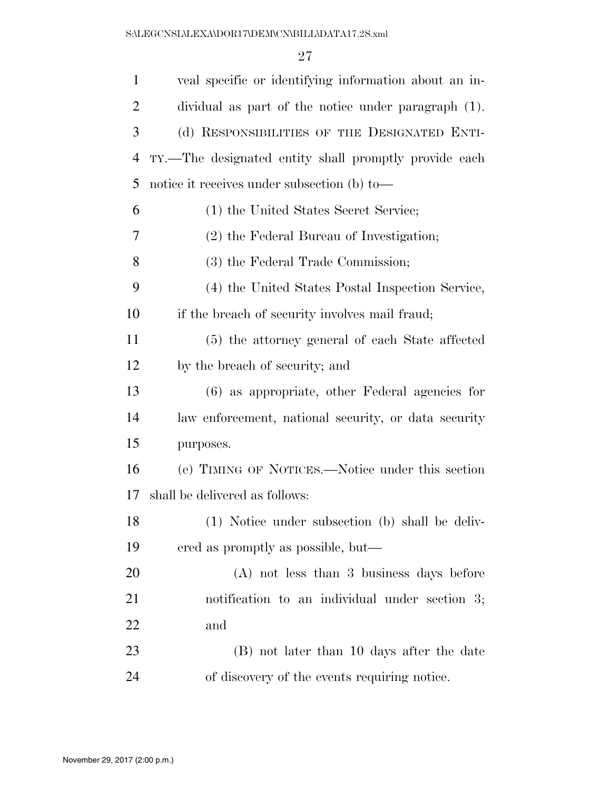| $\mathbf{1}$   | veal specific or identifying information about an in- |
|----------------|-------------------------------------------------------|
| $\overline{2}$ | dividual as part of the notice under paragraph (1).   |
| 3              | (d) RESPONSIBILITIES OF THE DESIGNATED ENTI-          |
| 4              | TY.—The designated entity shall promptly provide each |
| 5              | notice it receives under subsection (b) to-           |
| 6              | (1) the United States Secret Service;                 |
| 7              | (2) the Federal Bureau of Investigation;              |
| 8              | (3) the Federal Trade Commission;                     |
| 9              | (4) the United States Postal Inspection Service,      |
| 10             | if the breach of security involves mail fraud;        |
| 11             | (5) the attorney general of each State affected       |
| 12             | by the breach of security; and                        |
| 13             | $(6)$ as appropriate, other Federal agencies for      |
| 14             | law enforcement, national security, or data security  |
| 15             | purposes.                                             |
| 16             | (e) TIMING OF NOTICES.—Notice under this section      |
| 17             | shall be delivered as follows:                        |
| 18             | (1) Notice under subsection (b) shall be deliv-       |
| 19             | ered as promptly as possible, but—                    |
| 20             | $(A)$ not less than 3 business days before            |
| 21             | notification to an individual under section 3;        |
| 22             | and                                                   |
| 23             | (B) not later than 10 days after the date             |
| 24             | of discovery of the events requiring notice.          |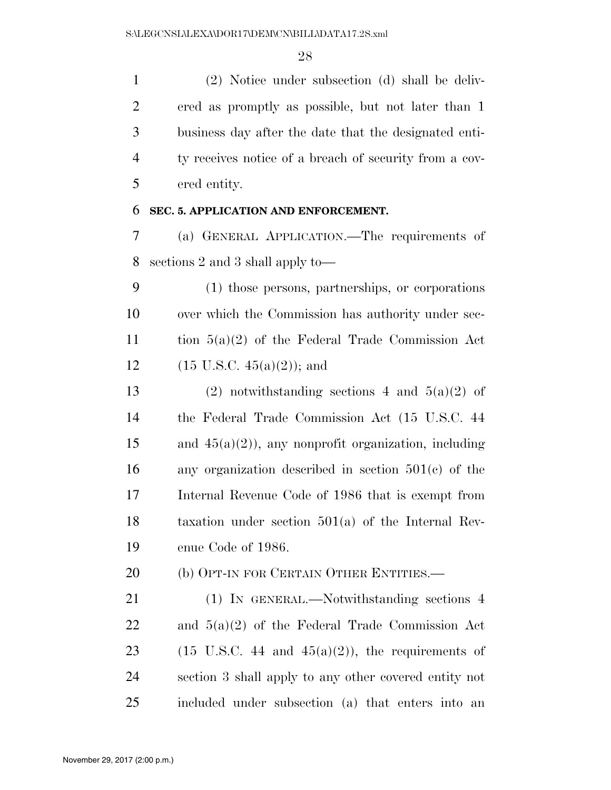(2) Notice under subsection (d) shall be deliv- ered as promptly as possible, but not later than 1 business day after the date that the designated enti- ty receives notice of a breach of security from a cov-ered entity.

## **SEC. 5. APPLICATION AND ENFORCEMENT.**

 (a) GENERAL APPLICATION.—The requirements of sections 2 and 3 shall apply to—

 (1) those persons, partnerships, or corporations over which the Commission has authority under sec- tion 5(a)(2) of the Federal Trade Commission Act 12 (15 U.S.C.  $45(a)(2)$ ); and

13 (2) notwithstanding sections 4 and  $5(a)(2)$  of the Federal Trade Commission Act (15 U.S.C. 44 15 and  $45(a)(2)$ , any nonprofit organization, including any organization described in section 501(c) of the Internal Revenue Code of 1986 that is exempt from taxation under section 501(a) of the Internal Rev-enue Code of 1986.

20 (b) OPT-IN FOR CERTAIN OTHER ENTITIES.—

 (1) IN GENERAL.—Notwithstanding sections 4 and 5(a)(2) of the Federal Trade Commission Act 23 (15 U.S.C. 44 and  $45(a)(2)$ ), the requirements of section 3 shall apply to any other covered entity not included under subsection (a) that enters into an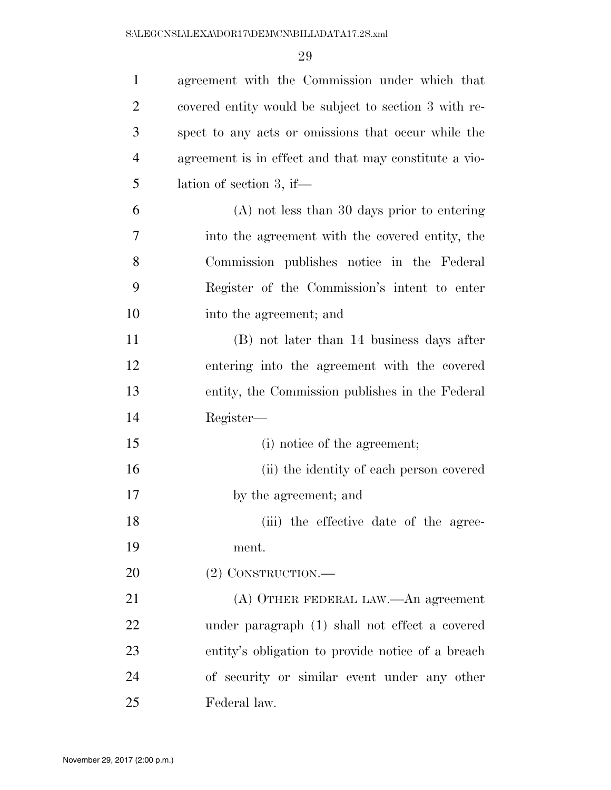| $\mathbf{1}$   | agreement with the Commission under which that        |
|----------------|-------------------------------------------------------|
| $\overline{2}$ | covered entity would be subject to section 3 with re- |
| 3              | spect to any acts or omissions that occur while the   |
| $\overline{4}$ | agreement is in effect and that may constitute a vio- |
| 5              | lation of section 3, if—                              |
| 6              | $(A)$ not less than 30 days prior to entering         |
| 7              | into the agreement with the covered entity, the       |
| 8              | Commission publishes notice in the Federal            |
| 9              | Register of the Commission's intent to enter          |
| 10             | into the agreement; and                               |
| 11             | (B) not later than 14 business days after             |
| 12             | entering into the agreement with the covered          |
| 13             | entity, the Commission publishes in the Federal       |
| 14             | Register—                                             |
| 15             | (i) notice of the agreement;                          |
| 16             | (ii) the identity of each person covered              |
| 17             | by the agreement; and                                 |
| 18             | (iii) the effective date of the agree-                |
| 19             | ment.                                                 |
| 20             | $(2)$ CONSTRUCTION.—                                  |
| 21             | (A) OTHER FEDERAL LAW.—An agreement                   |
| 22             | under paragraph (1) shall not effect a covered        |
| 23             | entity's obligation to provide notice of a breach     |
| 24             | of security or similar event under any other          |
| 25             | Federal law.                                          |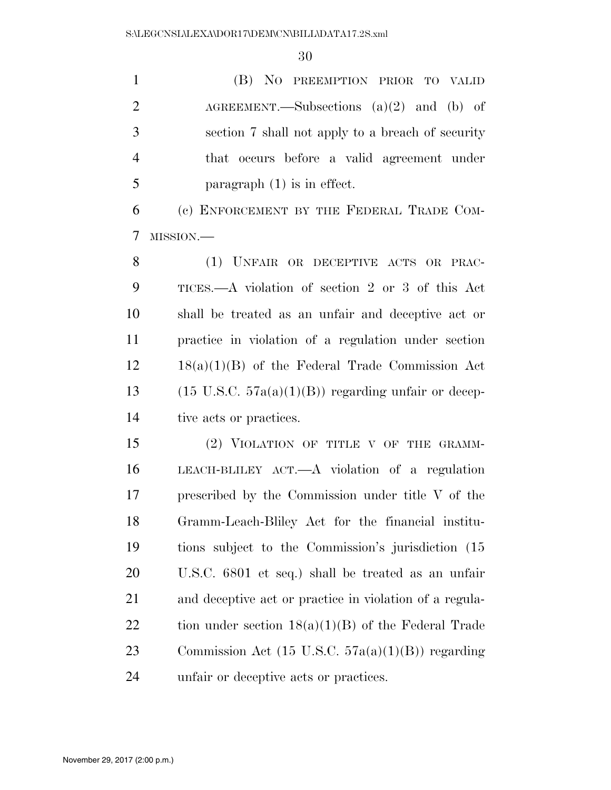(B) NO PREEMPTION PRIOR TO VALID 2 AGREEMENT.—Subsections (a)(2) and (b) of section 7 shall not apply to a breach of security that occurs before a valid agreement under paragraph (1) is in effect.

 (c) ENFORCEMENT BY THE FEDERAL TRADE COM-MISSION.—

 (1) UNFAIR OR DECEPTIVE ACTS OR PRAC- TICES.—A violation of section 2 or 3 of this Act shall be treated as an unfair and deceptive act or practice in violation of a regulation under section 18(a)(1)(B) of the Federal Trade Commission Act 13 (15 U.S.C.  $57a(a)(1)(B)$ ) regarding unfair or decep-tive acts or practices.

15 (2) VIOLATION OF TITLE V OF THE GRAMM- LEACH-BLILEY ACT.—A violation of a regulation prescribed by the Commission under title V of the Gramm-Leach-Bliley Act for the financial institu- tions subject to the Commission's jurisdiction (15 U.S.C. 6801 et seq.) shall be treated as an unfair and deceptive act or practice in violation of a regula-22 tion under section  $18(a)(1)(B)$  of the Federal Trade Commission Act (15 U.S.C. 57a(a)(1)(B)) regarding unfair or deceptive acts or practices.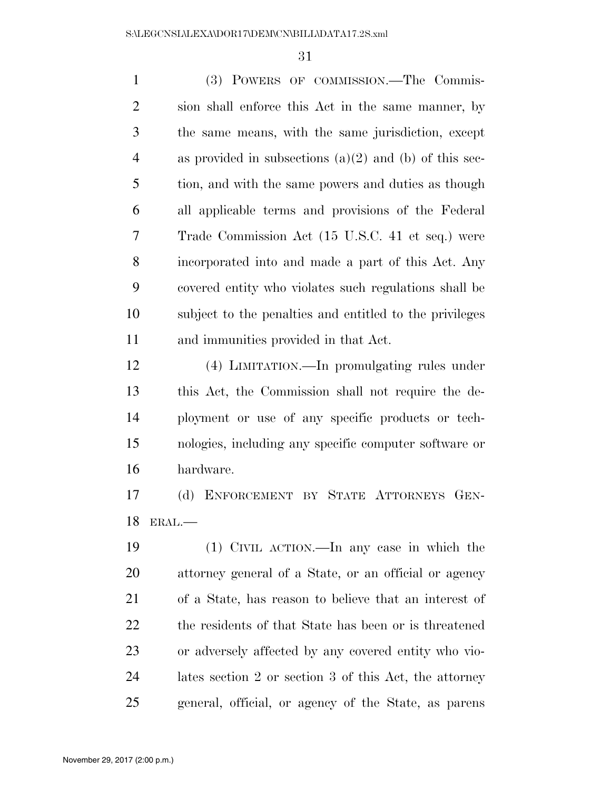(3) POWERS OF COMMISSION.—The Commis- sion shall enforce this Act in the same manner, by the same means, with the same jurisdiction, except as provided in subsections (a)(2) and (b) of this sec- tion, and with the same powers and duties as though all applicable terms and provisions of the Federal Trade Commission Act (15 U.S.C. 41 et seq.) were incorporated into and made a part of this Act. Any covered entity who violates such regulations shall be subject to the penalties and entitled to the privileges and immunities provided in that Act. (4) LIMITATION.—In promulgating rules under this Act, the Commission shall not require the de-ployment or use of any specific products or tech-

 nologies, including any specific computer software or hardware.

 (d) ENFORCEMENT BY STATE ATTORNEYS GEN-ERAL.—

 (1) CIVIL ACTION.—In any case in which the attorney general of a State, or an official or agency of a State, has reason to believe that an interest of 22 the residents of that State has been or is threatened or adversely affected by any covered entity who vio- lates section 2 or section 3 of this Act, the attorney general, official, or agency of the State, as parens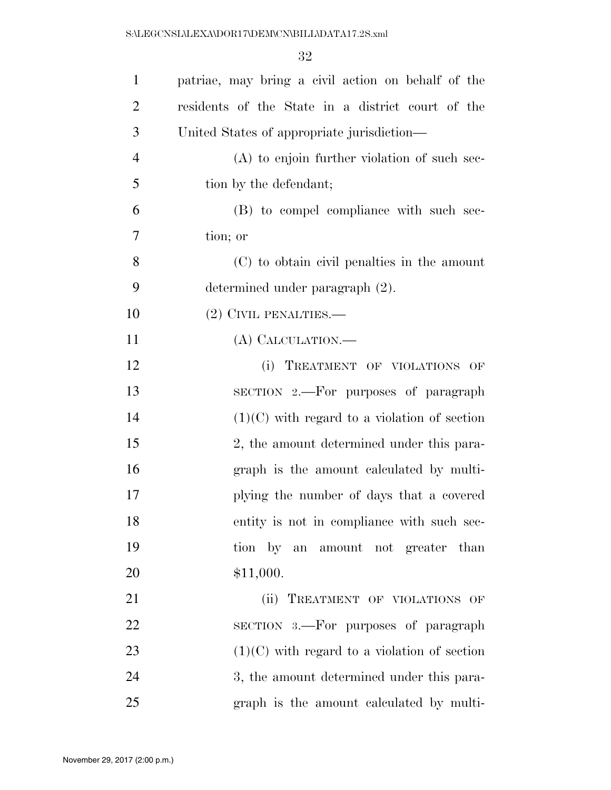| $\mathbf{1}$   | patriae, may bring a civil action on behalf of the |
|----------------|----------------------------------------------------|
| $\overline{2}$ | residents of the State in a district court of the  |
| 3              | United States of appropriate jurisdiction—         |
| $\overline{4}$ | $(A)$ to enjoin further violation of such sec-     |
| 5              | tion by the defendant;                             |
| 6              | (B) to compel compliance with such sec-            |
| 7              | tion; or                                           |
| 8              | (C) to obtain civil penalties in the amount        |
| 9              | determined under paragraph (2).                    |
| 10             | $(2)$ CIVIL PENALTIES.—                            |
| 11             | (A) CALCULATION.—                                  |
| 12             | (i) TREATMENT OF VIOLATIONS OF                     |
| 13             | SECTION 2.—For purposes of paragraph               |
| 14             | $(1)(C)$ with regard to a violation of section     |
| 15             | 2, the amount determined under this para-          |
| 16             | graph is the amount calculated by multi-           |
| 17             | plying the number of days that a covered           |
| 18             | entity is not in compliance with such sec-         |
| 19             | tion by an amount not greater than                 |
| 20             | \$11,000.                                          |
| 21             | (ii) TREATMENT OF VIOLATIONS OF                    |
| 22             | SECTION 3.—For purposes of paragraph               |
| 23             | $(1)(C)$ with regard to a violation of section     |
| 24             | 3, the amount determined under this para-          |
| 25             | graph is the amount calculated by multi-           |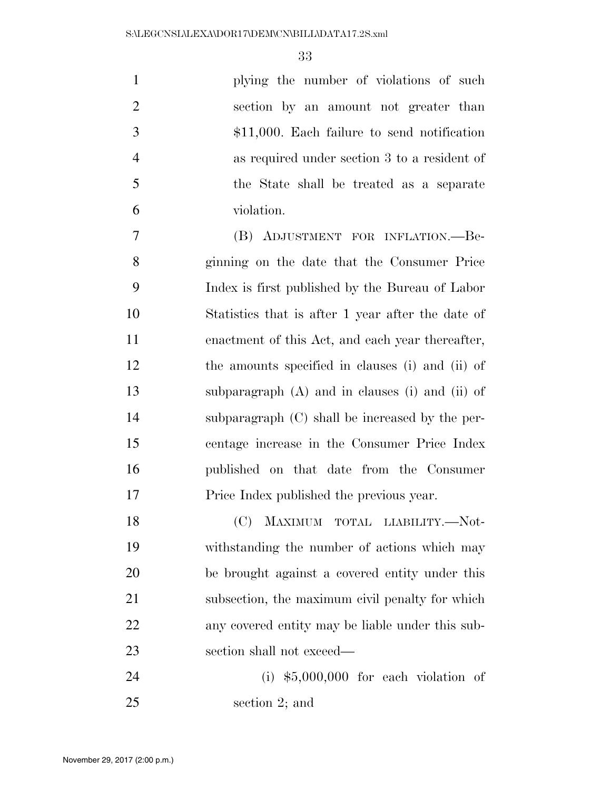|    | plying the number of violations of such       |
|----|-----------------------------------------------|
| 2  | section by an amount not greater than         |
| 3  | $$11,000$ . Each failure to send notification |
|    | as required under section 3 to a resident of  |
| -5 | the State shall be treated as a separate      |
| 6  | violation.                                    |

 (B) ADJUSTMENT FOR INFLATION.—Be- ginning on the date that the Consumer Price Index is first published by the Bureau of Labor Statistics that is after 1 year after the date of enactment of this Act, and each year thereafter, the amounts specified in clauses (i) and (ii) of subparagraph (A) and in clauses (i) and (ii) of subparagraph (C) shall be increased by the per- centage increase in the Consumer Price Index published on that date from the Consumer Price Index published the previous year.

 (C) MAXIMUM TOTAL LIABILITY.—Not- withstanding the number of actions which may be brought against a covered entity under this subsection, the maximum civil penalty for which any covered entity may be liable under this sub-section shall not exceed—

 (i) \$5,000,000 for each violation of section 2; and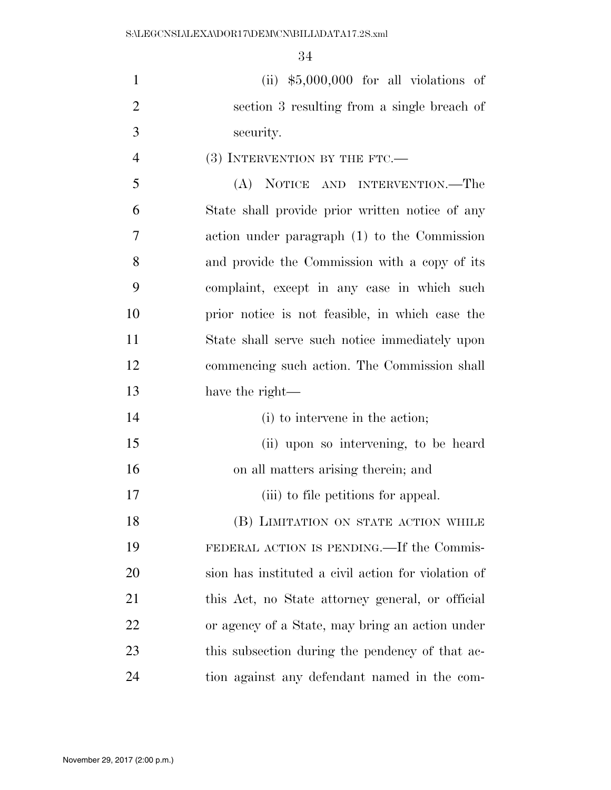| $\mathbf{1}$   | $(ii)$ \$5,000,000 for all violations of        |
|----------------|-------------------------------------------------|
| 2              | section 3 resulting from a single breach of     |
| 3              | security.                                       |
| $\overline{4}$ | $(3)$ INTERVENTION BY THE FTC.—                 |
| 5              | (A) NOTICE AND INTERVENTION.—The                |
| 6              | State shall provide prior written notice of any |
| 7              | action under paragraph (1) to the Commission    |
| 8              | and provide the Commission with a copy of its   |
| 9              | complaint, except in any case in which such     |
| 10             | prior notice is not feasible, in which case the |
| 11             | State shall serve such notice immediately upon  |

 commencing such action. The Commission shall have the right—

- (i) to intervene in the action;
- (ii) upon so intervening, to be heard on all matters arising therein; and
- 17 (iii) to file petitions for appeal.

18 (B) LIMITATION ON STATE ACTION WHILE FEDERAL ACTION IS PENDING.—If the Commis- sion has instituted a civil action for violation of this Act, no State attorney general, or official or agency of a State, may bring an action under 23 this subsection during the pendency of that ac-tion against any defendant named in the com-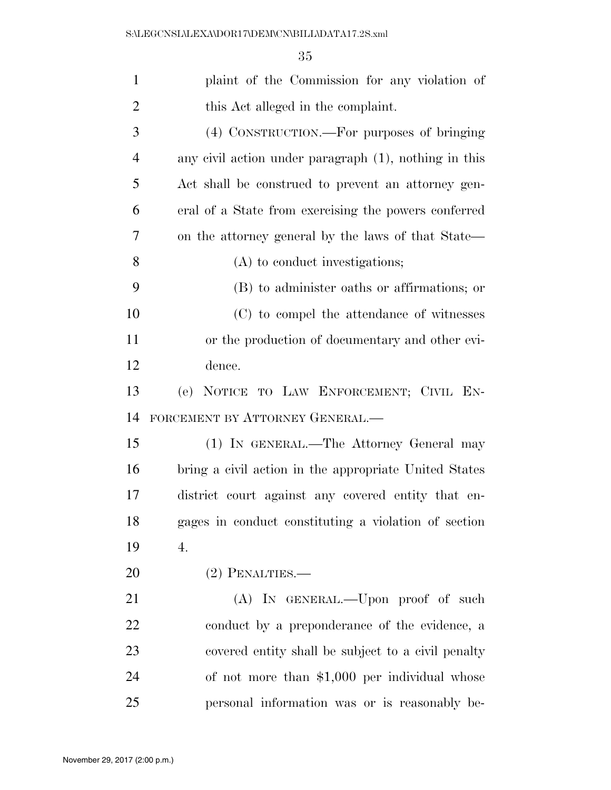| $\mathbf{1}$   | plaint of the Commission for any violation of         |
|----------------|-------------------------------------------------------|
| $\overline{2}$ | this Act alleged in the complaint.                    |
| 3              | (4) CONSTRUCTION.—For purposes of bringing            |
| $\overline{4}$ | any civil action under paragraph (1), nothing in this |
| 5              | Act shall be construed to prevent an attorney gen-    |
| 6              | eral of a State from exercising the powers conferred  |
| 7              | on the attorney general by the laws of that State—    |
| 8              | (A) to conduct investigations;                        |
| 9              | (B) to administer oaths or affirmations; or           |
| 10             | (C) to compel the attendance of witnesses             |
| 11             | or the production of documentary and other evi-       |
| 12             | dence.                                                |
| 13             | (e) NOTICE TO LAW ENFORCEMENT; CIVIL EN-              |
| 14             | FORCEMENT BY ATTORNEY GENERAL.-                       |
| 15             | (1) IN GENERAL.—The Attorney General may              |
| 16             | bring a civil action in the appropriate United States |
| 17             | district court against any covered entity that en-    |
| 18             | gages in conduct constituting a violation of section  |
| 19             | 4.                                                    |
| 20             | $(2)$ PENALTIES.—                                     |
| 21             | (A) IN GENERAL.—Upon proof of such                    |
| 22             | conduct by a preponderance of the evidence, a         |
| 23             | covered entity shall be subject to a civil penalty    |
| 24             | of not more than $$1,000$ per individual whose        |
| 25             | personal information was or is reasonably be-         |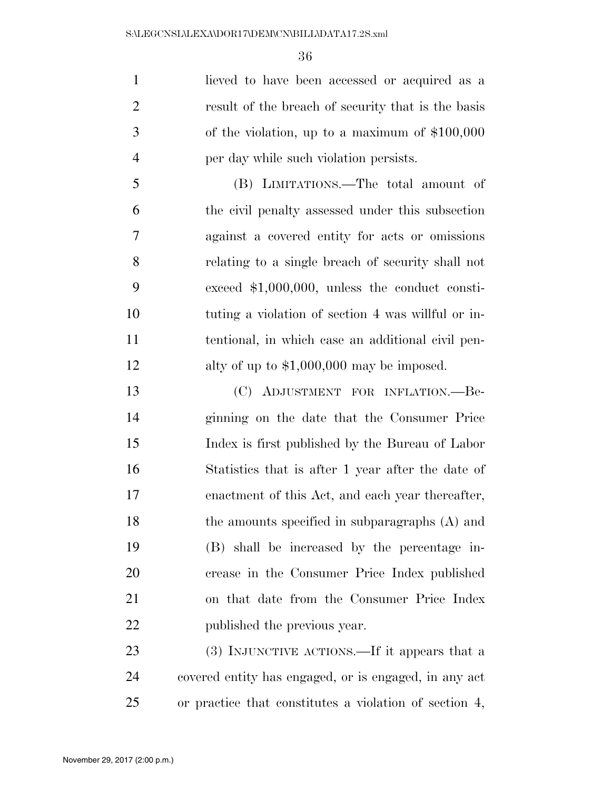lieved to have been accessed or acquired as a result of the breach of security that is the basis of the violation, up to a maximum of \$100,000 per day while such violation persists.

 (B) LIMITATIONS.—The total amount of the civil penalty assessed under this subsection against a covered entity for acts or omissions relating to a single breach of security shall not exceed \$1,000,000, unless the conduct consti- tuting a violation of section 4 was willful or in- tentional, in which case an additional civil pen-12 alty of up to \$1,000,000 may be imposed.

 (C) ADJUSTMENT FOR INFLATION.—Be- ginning on the date that the Consumer Price Index is first published by the Bureau of Labor Statistics that is after 1 year after the date of enactment of this Act, and each year thereafter, 18 the amounts specified in subparagraphs (A) and (B) shall be increased by the percentage in- crease in the Consumer Price Index published on that date from the Consumer Price Index published the previous year.

23 (3) INJUNCTIVE ACTIONS.—If it appears that a covered entity has engaged, or is engaged, in any act or practice that constitutes a violation of section 4,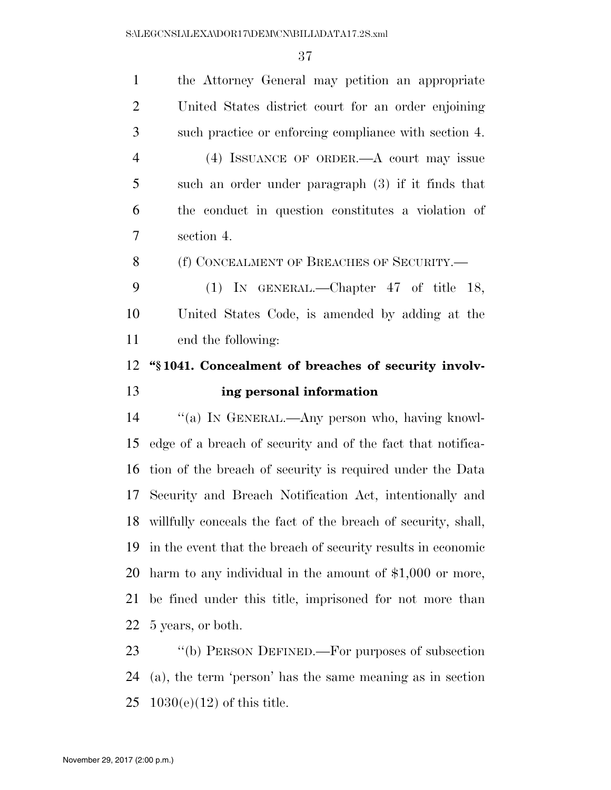| $\mathbf{1}$   | the Attorney General may petition an appropriate              |
|----------------|---------------------------------------------------------------|
| $\overline{2}$ | United States district court for an order enjoining           |
| 3              | such practice or enforcing compliance with section 4.         |
| $\overline{4}$ | (4) ISSUANCE OF ORDER.—A court may issue                      |
| 5              | such an order under paragraph $(3)$ if it finds that          |
| 6              | the conduct in question constitutes a violation of            |
| 7              | section 4.                                                    |
| 8              | (f) CONCEALMENT OF BREACHES OF SECURITY.—                     |
| 9              | (1) IN GENERAL.—Chapter $47$ of title 18,                     |
| 10             | United States Code, is amended by adding at the               |
| 11             | end the following:                                            |
|                |                                                               |
| 12             | "\\$1041. Concealment of breaches of security involv-         |
| 13             | ing personal information                                      |
| 14             | "(a) IN GENERAL.—Any person who, having knowl-                |
| 15             | edge of a breach of security and of the fact that notifica-   |
| 16             | tion of the breach of security is required under the Data     |
| 17             | Security and Breach Notification Act, intentionally and       |
| 18             | willfully conceals the fact of the breach of security, shall, |
| 19             | in the event that the breach of security results in economic  |
| 20             | harm to any individual in the amount of $$1,000$ or more,     |
| 21             | be fined under this title, imprisoned for not more than       |
| 22             | 5 years, or both.                                             |

 (a), the term 'person' has the same meaning as in section 1030(e)(12) of this title.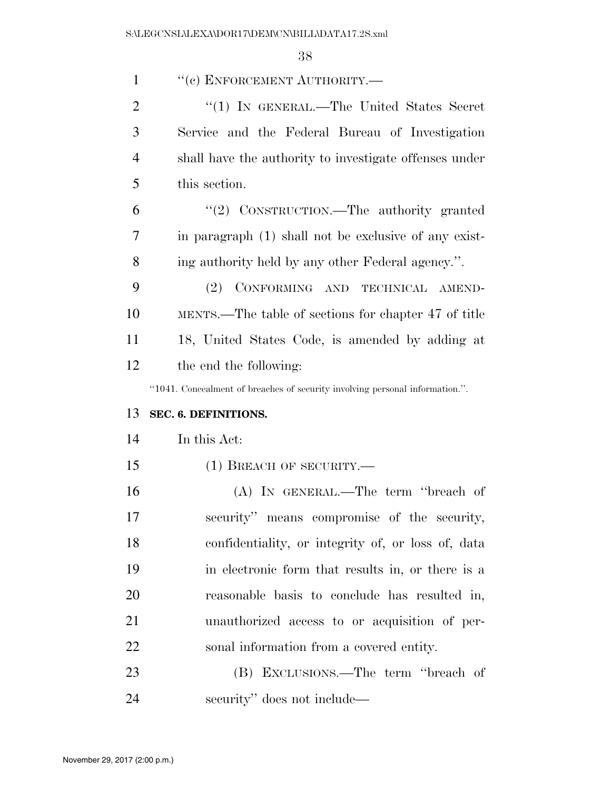| $\mathbf{1}$   | "(c) ENFORCEMENT AUTHORITY.-                                                 |
|----------------|------------------------------------------------------------------------------|
| $\overline{2}$ | "(1) IN GENERAL.—The United States Secret                                    |
| 3              | Service and the Federal Bureau of Investigation                              |
| $\overline{4}$ | shall have the authority to investigate offenses under                       |
| 5              | this section.                                                                |
| 6              | "(2) CONSTRUCTION.—The authority granted                                     |
| 7              | in paragraph (1) shall not be exclusive of any exist-                        |
| 8              | ing authority held by any other Federal agency.".                            |
| 9              | CONFORMING AND TECHNICAL AMEND-<br>(2)                                       |
| 10             | MENTS.—The table of sections for chapter 47 of title                         |
| 11             | 18, United States Code, is amended by adding at                              |
| 12             | the end the following:                                                       |
|                |                                                                              |
|                | "1041. Concealment of breaches of security involving personal information.". |
| 13             | SEC. 6. DEFINITIONS.                                                         |
| 14             | In this Act:                                                                 |
| 15             | $(1)$ BREACH OF SECURITY.—                                                   |
| 16             | $(A)$ IN GENERAL.—The term "breach of                                        |
| 17             | security" means compromise of the security,                                  |
| 18             | confidentiality, or integrity of, or loss of, data                           |
| 19             | in electronic form that results in, or there is a                            |
| 20             | reasonable basis to conclude has resulted in,                                |
| 21             | unauthorized access to or acquisition of per-                                |
| 22             | sonal information from a covered entity.                                     |
| 23             | (B) EXCLUSIONS.—The term "breach of                                          |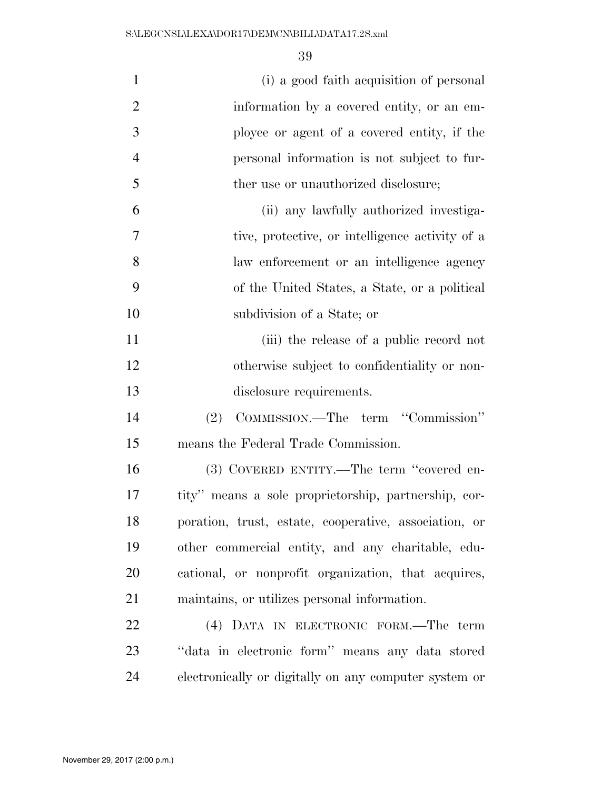| $\mathbf{1}$   | (i) a good faith acquisition of personal              |
|----------------|-------------------------------------------------------|
| $\overline{2}$ | information by a covered entity, or an em-            |
| 3              | ployee or agent of a covered entity, if the           |
| $\overline{4}$ | personal information is not subject to fur-           |
| 5              | ther use or unauthorized disclosure;                  |
| 6              | (ii) any lawfully authorized investiga-               |
| 7              | tive, protective, or intelligence activity of a       |
| 8              | law enforcement or an intelligence agency             |
| 9              | of the United States, a State, or a political         |
| 10             | subdivision of a State; or                            |
| 11             | (iii) the release of a public record not              |
| 12             | otherwise subject to confidentiality or non-          |
| 13             | disclosure requirements.                              |
| 14             | COMMISSION.—The term "Commission"<br>(2)              |
| 15             | means the Federal Trade Commission.                   |
| 16             | (3) COVERED ENTITY.—The term "covered en-             |
| 17             | tity" means a sole proprietorship, partnership, cor-  |
| 18             | poration, trust, estate, cooperative, association, or |
| 19             | other commercial entity, and any charitable, edu-     |
| 20             | cational, or nonprofit organization, that acquires,   |
| 21             | maintains, or utilizes personal information.          |
| 22             | (4) DATA IN ELECTRONIC FORM.—The term                 |
| 23             | "data in electronic form" means any data stored       |
| 24             | electronically or digitally on any computer system or |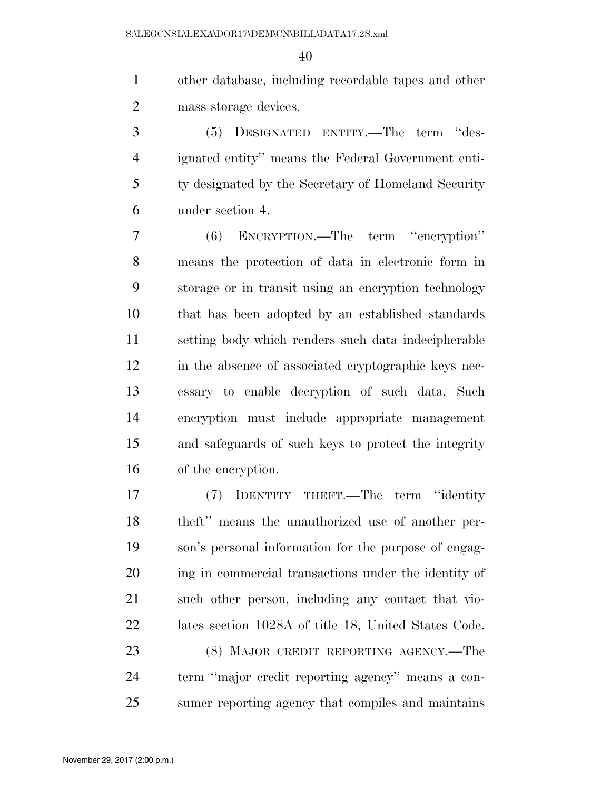other database, including recordable tapes and other mass storage devices.

 (5) DESIGNATED ENTITY.—The term ''des- ignated entity'' means the Federal Government enti- ty designated by the Secretary of Homeland Security under section 4.

 (6) ENCRYPTION.—The term ''encryption'' means the protection of data in electronic form in storage or in transit using an encryption technology that has been adopted by an established standards setting body which renders such data indecipherable in the absence of associated cryptographic keys nec- essary to enable decryption of such data. Such encryption must include appropriate management and safeguards of such keys to protect the integrity of the encryption.

 (7) IDENTITY THEFT.—The term ''identity theft'' means the unauthorized use of another per- son's personal information for the purpose of engag- ing in commercial transactions under the identity of such other person, including any contact that vio- lates section 1028A of title 18, United States Code. (8) MAJOR CREDIT REPORTING AGENCY.—The term ''major credit reporting agency'' means a con-

sumer reporting agency that compiles and maintains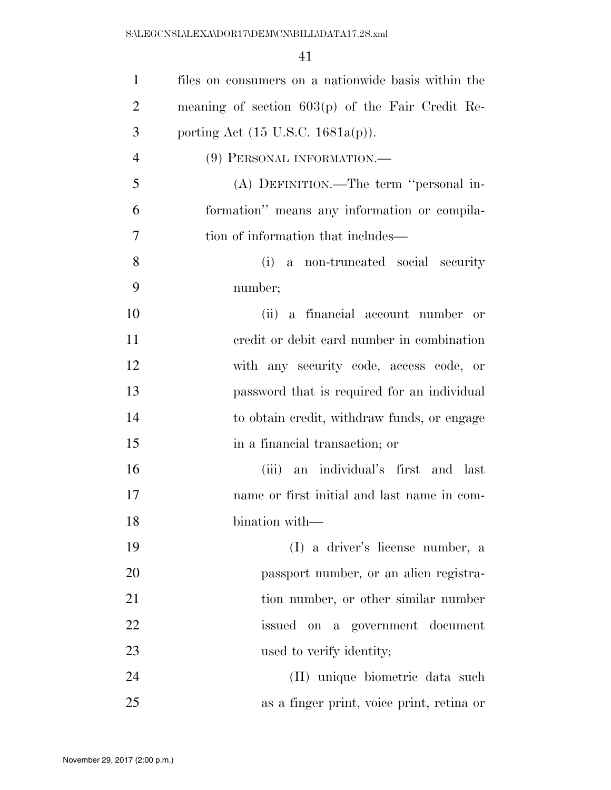| $\mathbf{1}$   | files on consumers on a nationwide basis within the |
|----------------|-----------------------------------------------------|
| $\overline{2}$ | meaning of section $603(p)$ of the Fair Credit Re-  |
| 3              | porting Act $(15 \text{ U.S.C. } 1681a(p))$ .       |
| $\overline{4}$ | (9) PERSONAL INFORMATION.                           |
| 5              | (A) DEFINITION.—The term "personal in-              |
| 6              | formation" means any information or compila-        |
| 7              | tion of information that includes—                  |
| 8              | (i) a non-truncated social security                 |
| 9              | number;                                             |
| 10             | (ii) a financial account number or                  |
| 11             | eredit or debit card number in combination          |
| 12             | with any security code, access code, or             |
| 13             | password that is required for an individual         |
| 14             | to obtain credit, withdraw funds, or engage         |
| 15             | in a financial transaction; or                      |
| 16             | (iii) an individual's first and last                |
| 17             | name or first initial and last name in com-         |
| 18             | bination with—                                      |
| 19             | (I) a driver's license number, a                    |
| 20             | passport number, or an alien registra-              |
| 21             | tion number, or other similar number                |
| 22             | issued on a government document                     |
| 23             | used to verify identity;                            |
| 24             | (II) unique biometric data such                     |
| 25             | as a finger print, voice print, retina or           |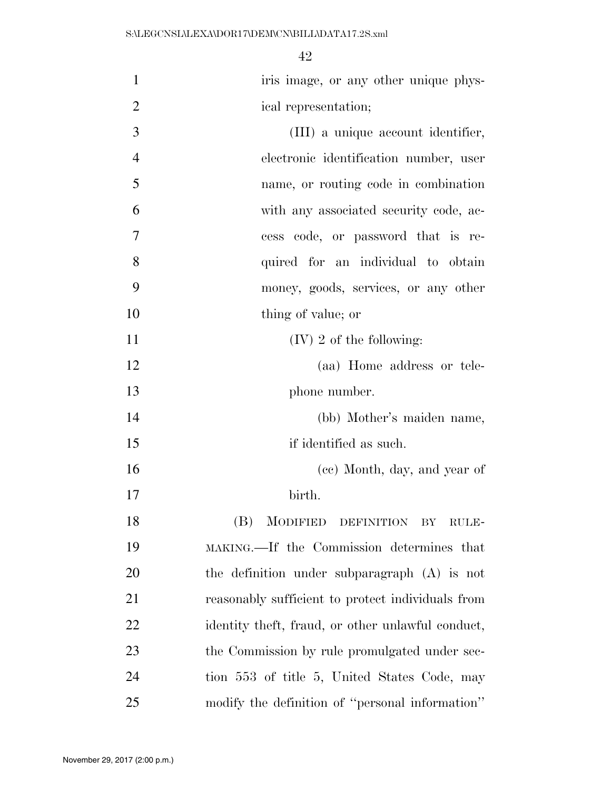| $\mathbf{1}$   | iris image, or any other unique phys-             |
|----------------|---------------------------------------------------|
| $\overline{2}$ | ical representation;                              |
| 3              | (III) a unique account identifier,                |
| $\overline{4}$ | electronic identification number, user            |
| 5              | name, or routing code in combination              |
| 6              | with any associated security code, ac-            |
| 7              | cess code, or password that is re-                |
| 8              | quired for an individual to obtain                |
| 9              | money, goods, services, or any other              |
| 10             | thing of value; or                                |
| 11             | $(IV)$ 2 of the following:                        |
| 12             | (aa) Home address or tele-                        |
| 13             | phone number.                                     |
| 14             | (bb) Mother's maiden name,                        |
| 15             | if identified as such.                            |
| 16             | (cc) Month, day, and year of                      |
| 17             | birth.                                            |
| 18             | (B) MODIFIED DEFINITION BY RULE-                  |
| 19             | MAKING.—If the Commission determines that         |
| 20             | the definition under subparagraph (A) is not      |
| 21             | reasonably sufficient to protect individuals from |
| 22             | identity theft, fraud, or other unlawful conduct, |
| 23             | the Commission by rule promulgated under sec-     |
| 24             | tion 553 of title 5, United States Code, may      |
| 25             | modify the definition of "personal information"   |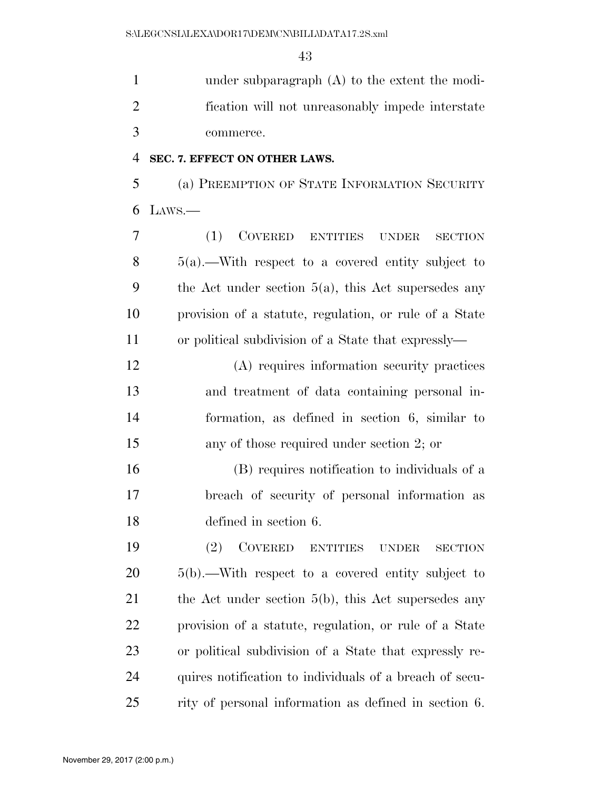under subparagraph (A) to the extent the modi- fication will not unreasonably impede interstate commerce.

### **SEC. 7. EFFECT ON OTHER LAWS.**

 (a) PREEMPTION OF STATE INFORMATION SECURITY LAWS.—

 (1) COVERED ENTITIES UNDER SECTION 5(a).—With respect to a covered entity subject to 9 the Act under section  $5(a)$ , this Act supersedes any provision of a statute, regulation, or rule of a State or political subdivision of a State that expressly—

 (A) requires information security practices and treatment of data containing personal in- formation, as defined in section 6, similar to any of those required under section 2; or

 (B) requires notification to individuals of a breach of security of personal information as defined in section 6.

 (2) COVERED ENTITIES UNDER SECTION 5(b).—With respect to a covered entity subject to 21 the Act under section 5(b), this Act supersedes any provision of a statute, regulation, or rule of a State or political subdivision of a State that expressly re- quires notification to individuals of a breach of secu-rity of personal information as defined in section 6.